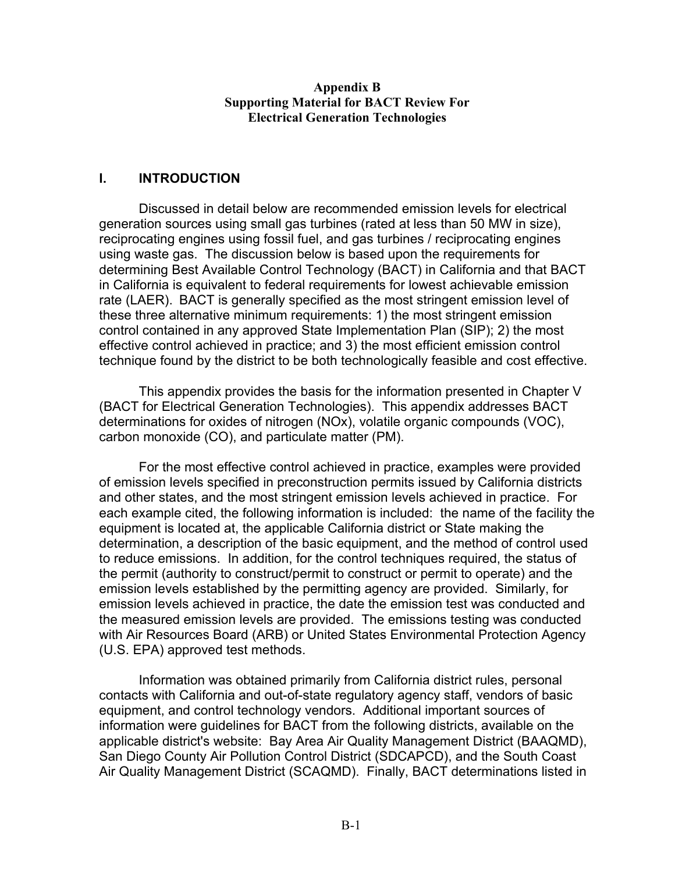#### **Appendix B Supporting Material for BACT Review For Electrical Generation Technologies**

#### **I. INTRODUCTION**

 rate (LAER). BACT is generally specified as the most stringent emission level of Discussed in detail below are recommended emission levels for electrical generation sources using small gas turbines (rated at less than 50 MW in size), reciprocating engines using fossil fuel, and gas turbines / reciprocating engines using waste gas. The discussion below is based upon the requirements for determining Best Available Control Technology (BACT) in California and that BACT in California is equivalent to federal requirements for lowest achievable emission these three alternative minimum requirements: 1) the most stringent emission control contained in any approved State Implementation Plan (SIP); 2) the most effective control achieved in practice; and 3) the most efficient emission control technique found by the district to be both technologically feasible and cost effective.

This appendix provides the basis for the information presented in Chapter V (BACT for Electrical Generation Technologies). This appendix addresses BACT determinations for oxides of nitrogen (NOx), volatile organic compounds (VOC), carbon monoxide (CO), and particulate matter (PM).

For the most effective control achieved in practice, examples were provided of emission levels specified in preconstruction permits issued by California districts and other states, and the most stringent emission levels achieved in practice. For each example cited, the following information is included: the name of the facility the equipment is located at, the applicable California district or State making the determination, a description of the basic equipment, and the method of control used to reduce emissions. In addition, for the control techniques required, the status of the permit (authority to construct/permit to construct or permit to operate) and the emission levels established by the permitting agency are provided. Similarly, for emission levels achieved in practice, the date the emission test was conducted and the measured emission levels are provided. The emissions testing was conducted with Air Resources Board (ARB) or United States Environmental Protection Agency (U.S. EPA) approved test methods.

Information was obtained primarily from California district rules, personal contacts with California and out-of-state regulatory agency staff, vendors of basic equipment, and control technology vendors. Additional important sources of information were guidelines for BACT from the following districts, available on the applicable district's website: Bay Area Air Quality Management District (BAAQMD), San Diego County Air Pollution Control District (SDCAPCD), and the South Coast Air Quality Management District (SCAQMD). Finally, BACT determinations listed in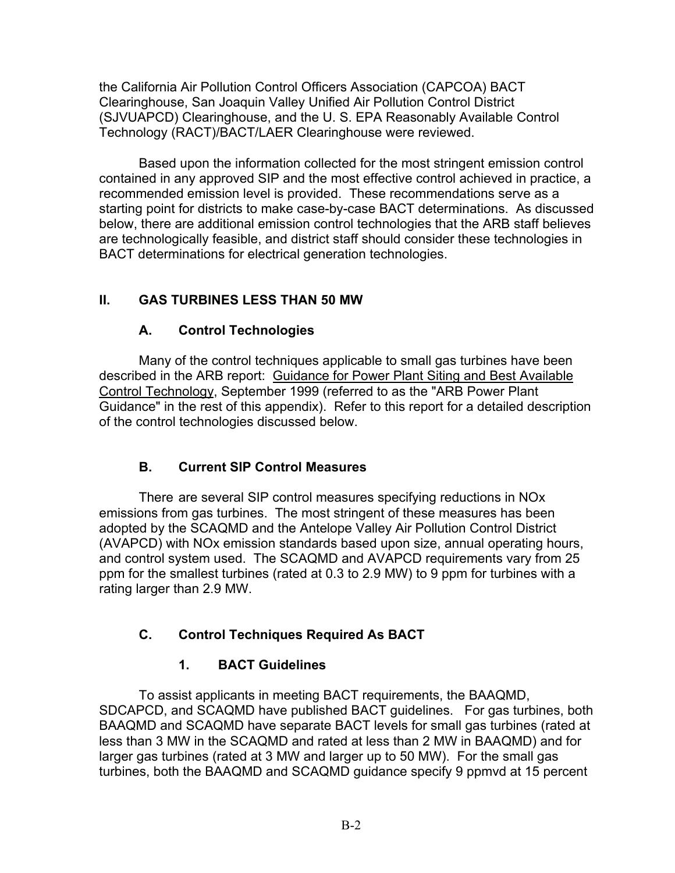the California Air Pollution Control Officers Association (CAPCOA) BACT Clearinghouse, San Joaquin Valley Unified Air Pollution Control District (SJVUAPCD) Clearinghouse, and the U. S. EPA Reasonably Available Control Technology (RACT)/BACT/LAER Clearinghouse were reviewed.

Based upon the information collected for the most stringent emission control contained in any approved SIP and the most effective control achieved in practice, a recommended emission level is provided. These recommendations serve as a starting point for districts to make case-by-case BACT determinations. As discussed below, there are additional emission control technologies that the ARB staff believes are technologically feasible, and district staff should consider these technologies in BACT determinations for electrical generation technologies.

# **II. GAS TURBINES LESS THAN 50 MW**

## **A. Control Technologies**

Many of the control techniques applicable to small gas turbines have been described in the ARB report: Guidance for Power Plant Siting and Best Available Control Technology, September 1999 (referred to as the "ARB Power Plant Guidance" in the rest of this appendix). Refer to this report for a detailed description of the control technologies discussed below.

# **B. Current SIP Control Measures**

There are several SIP control measures specifying reductions in NOx emissions from gas turbines. The most stringent of these measures has been adopted by the SCAQMD and the Antelope Valley Air Pollution Control District (AVAPCD) with NOx emission standards based upon size, annual operating hours, and control system used. The SCAQMD and AVAPCD requirements vary from 25 ppm for the smallest turbines (rated at 0.3 to 2.9 MW) to 9 ppm for turbines with a rating larger than 2.9 MW.

# **C. Control Techniques Required As BACT**

# **1. BACT Guidelines**

To assist applicants in meeting BACT requirements, the BAAQMD, SDCAPCD, and SCAQMD have published BACT guidelines. For gas turbines, both BAAQMD and SCAQMD have separate BACT levels for small gas turbines (rated at less than 3 MW in the SCAQMD and rated at less than 2 MW in BAAQMD) and for larger gas turbines (rated at 3 MW and larger up to 50 MW). For the small gas turbines, both the BAAQMD and SCAQMD guidance specify 9 ppmvd at 15 percent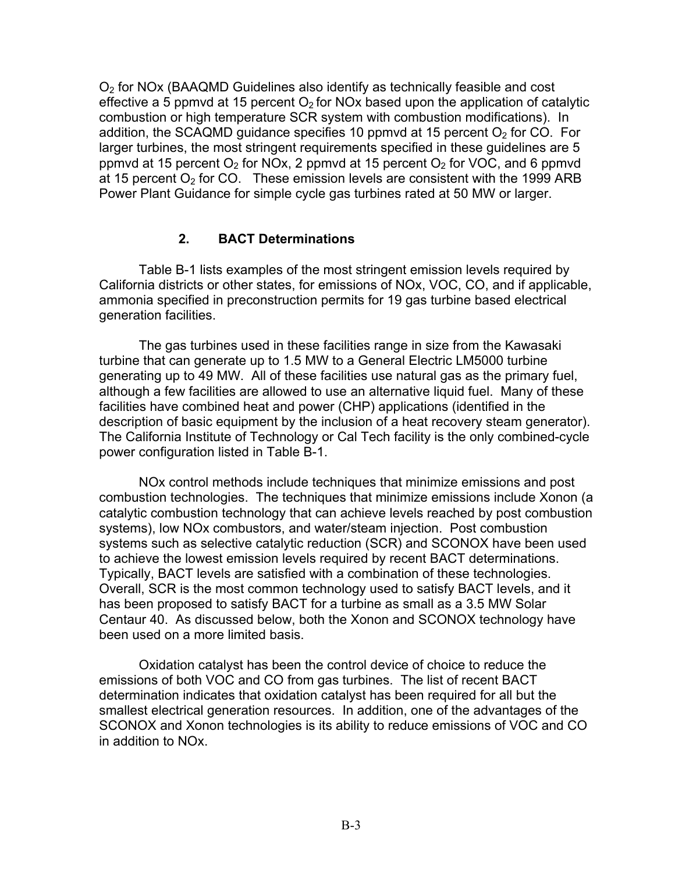$O<sub>2</sub>$  for NOx (BAAQMD Guidelines also identify as technically feasible and cost effective a 5 ppmvd at 15 percent  $O<sub>2</sub>$  for NOx based upon the application of catalytic combustion or high temperature SCR system with combustion modifications). In addition, the SCAQMD guidance specifies 10 ppmvd at 15 percent  $O<sub>2</sub>$  for CO. For larger turbines, the most stringent requirements specified in these guidelines are 5 ppmvd at 15 percent  $O_2$  for NOx, 2 ppmvd at 15 percent  $O_2$  for VOC, and 6 ppmvd at 15 percent  $O_2$  for CO. These emission levels are consistent with the 1999 ARB Power Plant Guidance for simple cycle gas turbines rated at 50 MW or larger.

## **2. BACT Determinations**

Table B-1 lists examples of the most stringent emission levels required by California districts or other states, for emissions of NOx, VOC, CO, and if applicable, ammonia specified in preconstruction permits for 19 gas turbine based electrical generation facilities.

The gas turbines used in these facilities range in size from the Kawasaki turbine that can generate up to 1.5 MW to a General Electric LM5000 turbine generating up to 49 MW. All of these facilities use natural gas as the primary fuel, although a few facilities are allowed to use an alternative liquid fuel. Many of these facilities have combined heat and power (CHP) applications (identified in the description of basic equipment by the inclusion of a heat recovery steam generator). The California Institute of Technology or Cal Tech facility is the only combined-cycle power configuration listed in Table B-1.

NOx control methods include techniques that minimize emissions and post combustion technologies. The techniques that minimize emissions include Xonon (a catalytic combustion technology that can achieve levels reached by post combustion systems), low NOx combustors, and water/steam injection. Post combustion systems such as selective catalytic reduction (SCR) and SCONOX have been used to achieve the lowest emission levels required by recent BACT determinations. Typically, BACT levels are satisfied with a combination of these technologies. Overall, SCR is the most common technology used to satisfy BACT levels, and it has been proposed to satisfy BACT for a turbine as small as a 3.5 MW Solar Centaur 40. As discussed below, both the Xonon and SCONOX technology have been used on a more limited basis.

Oxidation catalyst has been the control device of choice to reduce the emissions of both VOC and CO from gas turbines. The list of recent BACT determination indicates that oxidation catalyst has been required for all but the smallest electrical generation resources. In addition, one of the advantages of the SCONOX and Xonon technologies is its ability to reduce emissions of VOC and CO in addition to NOx.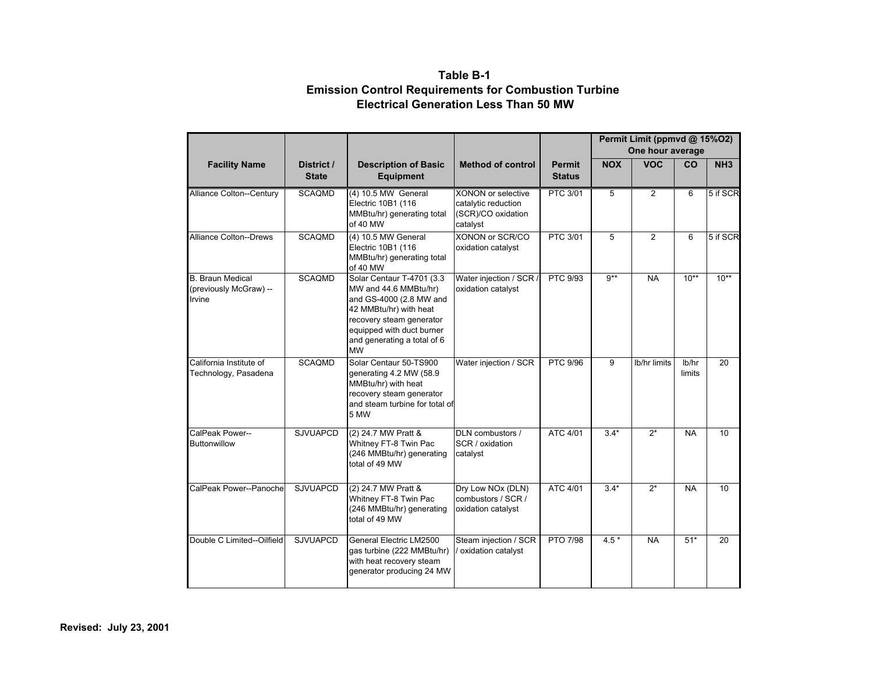#### **Table B-1 Emission Control Requirements for Combustion Turbine Electrical Generation Less Than 50 MW**

|                                                             |                            |                                                                                                                                                                                                              |                                                                                    |                                |            | Permit Limit (ppmvd @ 15%O2)<br>One hour average |                 |                 |
|-------------------------------------------------------------|----------------------------|--------------------------------------------------------------------------------------------------------------------------------------------------------------------------------------------------------------|------------------------------------------------------------------------------------|--------------------------------|------------|--------------------------------------------------|-----------------|-----------------|
| <b>Facility Name</b>                                        | District /<br><b>State</b> | <b>Description of Basic</b><br><b>Equipment</b>                                                                                                                                                              | <b>Method of control</b>                                                           | <b>Permit</b><br><b>Status</b> | <b>NOX</b> | <b>VOC</b>                                       | CO              | NH <sub>3</sub> |
| Alliance Colton--Century                                    | <b>SCAQMD</b>              | (4) 10.5 MW General<br>Electric 10B1 (116<br>MMBtu/hr) generating total<br>of 40 MW                                                                                                                          | <b>XONON or selective</b><br>catalytic reduction<br>(SCR)/CO oxidation<br>catalyst | <b>PTC 3/01</b>                | 5          | $\overline{2}$                                   | 6               | 5 if SCR        |
| <b>Alliance Colton--Drews</b>                               | <b>SCAQMD</b>              | (4) 10.5 MW General<br>Electric 10B1 (116<br>MMBtu/hr) generating total<br>of 40 MW                                                                                                                          | XONON or SCR/CO<br>oxidation catalyst                                              | <b>PTC 3/01</b>                | 5          | $\overline{2}$                                   | 6               | 5 if SCR        |
| <b>B.</b> Braun Medical<br>(previously McGraw) --<br>Irvine | <b>SCAQMD</b>              | Solar Centaur T-4701 (3.3<br>MW and 44.6 MMBtu/hr)<br>and GS-4000 (2.8 MW and<br>42 MMBtu/hr) with heat<br>recovery steam generator<br>equipped with duct burner<br>and generating a total of 6<br><b>MW</b> | Water injection / SCR /<br>oxidation catalyst                                      | PTC 9/93                       | $9***$     | <b>NA</b>                                        | $10**$          | $10**$          |
| California Institute of<br>Technology, Pasadena             | <b>SCAQMD</b>              | Solar Centaur 50-TS900<br>generating 4.2 MW (58.9<br>MMBtu/hr) with heat<br>recovery steam generator<br>and steam turbine for total of<br>5 MW                                                               | Water injection / SCR                                                              | PTC 9/96                       | 9          | Ib/hr limits                                     | lb/hr<br>limits | 20              |
| CalPeak Power--<br><b>Buttonwillow</b>                      | <b>SJVUAPCD</b>            | (2) 24.7 MW Pratt &<br>Whitney FT-8 Twin Pac<br>(246 MMBtu/hr) generating<br>total of 49 MW                                                                                                                  | DLN combustors /<br>SCR / oxidation<br>catalyst                                    | ATC 4/01                       | $3.4*$     | $2^*$                                            | <b>NA</b>       | 10              |
| CalPeak Power--Panoche                                      | <b>SJVUAPCD</b>            | (2) 24.7 MW Pratt &<br>Whitney FT-8 Twin Pac<br>(246 MMBtu/hr) generating<br>total of 49 MW                                                                                                                  | Dry Low NOx (DLN)<br>combustors / SCR /<br>oxidation catalyst                      | ATC 4/01                       | $3.4*$     | $2^*$                                            | <b>NA</b>       | $\overline{10}$ |
| Double C Limited--Oilfield                                  | <b>SJVUAPCD</b>            | General Electric LM2500<br>gas turbine (222 MMBtu/hr)<br>with heat recovery steam<br>generator producing 24 MW                                                                                               | Steam injection / SCR<br>oxidation catalyst                                        | <b>PTO 7/98</b>                | $4.5*$     | <b>NA</b>                                        | $51*$           | 20              |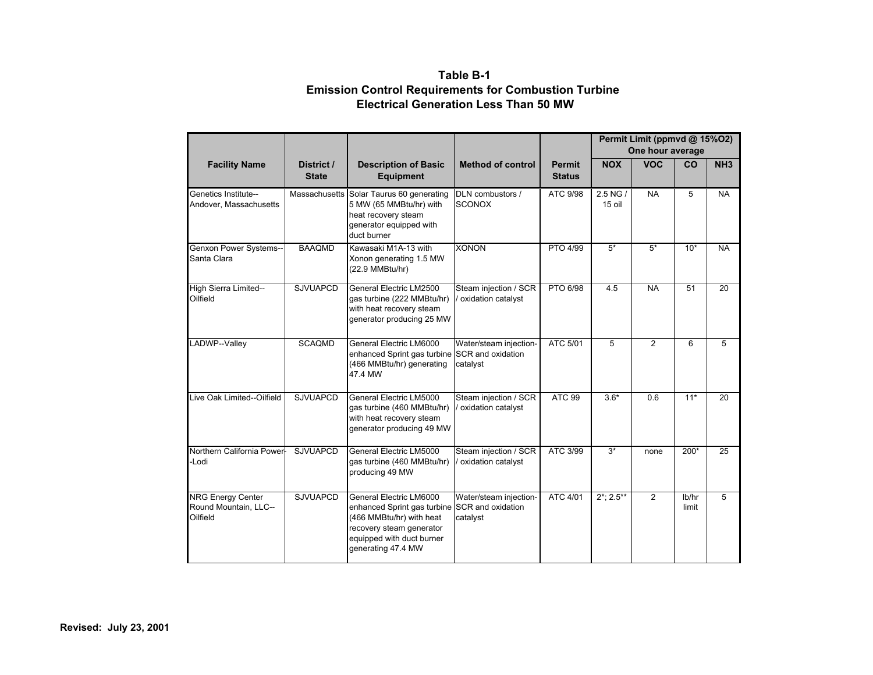#### **Table B-1 Emission Control Requirements for Combustion Turbine Electrical Generation Less Than 50 MW**

|                                                               |                            |                                                                                                                                                                                     |                                               |                                |                        | Permit Limit (ppmvd @ 15%02)<br>One hour average |                |                 |
|---------------------------------------------------------------|----------------------------|-------------------------------------------------------------------------------------------------------------------------------------------------------------------------------------|-----------------------------------------------|--------------------------------|------------------------|--------------------------------------------------|----------------|-----------------|
| <b>Facility Name</b>                                          | District /<br><b>State</b> | <b>Description of Basic</b><br><b>Equipment</b>                                                                                                                                     | <b>Method of control</b>                      | <b>Permit</b><br><b>Status</b> | <b>NOX</b>             | <b>VOC</b>                                       | CO             | NH <sub>3</sub> |
| Genetics Institute--<br>Andover, Massachusetts                |                            | Massachusetts Solar Taurus 60 generating<br>5 MW (65 MMBtu/hr) with<br>heat recovery steam<br>generator equipped with<br>duct burner                                                | DLN combustors /<br><b>SCONOX</b>             | ATC 9/98                       | $2.5$ NG $/$<br>15 oil | <b>NA</b>                                        | 5              | <b>NA</b>       |
| Genxon Power Systems--<br>Santa Clara                         | <b>BAAQMD</b>              | Kawasaki M1A-13 with<br>Xonon generating 1.5 MW<br>(22.9 MMBtu/hr)                                                                                                                  | <b>XONON</b>                                  | PTO 4/99                       | $5*$                   | $5*$                                             | $10*$          | <b>NA</b>       |
| High Sierra Limited--<br>Oilfield                             | <b>SJVUAPCD</b>            | General Electric LM2500<br>gas turbine (222 MMBtu/hr)<br>with heat recovery steam<br>generator producing 25 MW                                                                      | Steam injection / SCR<br>/ oxidation catalyst | <b>PTO 6/98</b>                | 4.5                    | <b>NA</b>                                        | 51             | 20              |
| LADWP--Valley                                                 | <b>SCAQMD</b>              | General Electric LM6000<br>enhanced Sprint gas turbine SCR and oxidation<br>(466 MMBtu/hr) generating<br>47.4 MW                                                                    | Water/steam injection-<br>catalvst            | ATC 5/01                       | 5                      | $\overline{2}$                                   | 6              | 5               |
| Live Oak Limited--Oilfield                                    | <b>SJVUAPCD</b>            | General Electric LM5000<br>qas turbine (460 MMBtu/hr)<br>with heat recovery steam<br>generator producing 49 MW                                                                      | Steam injection / SCR<br>oxidation catalyst   | <b>ATC 99</b>                  | $3.6*$                 | 0.6                                              | $11*$          | 20              |
| Northern California Power-<br>-Lodi                           | <b>SJVUAPCD</b>            | General Electric LM5000<br>gas turbine (460 MMBtu/hr)<br>producing 49 MW                                                                                                            | Steam injection / SCR<br>oxidation catalyst   | ATC 3/99                       | $3*$                   | none                                             | $200*$         | 25              |
| <b>NRG Energy Center</b><br>Round Mountain, LLC--<br>Oilfield | <b>SJVUAPCD</b>            | General Electric LM6000<br>enhanced Sprint gas turbine SCR and oxidation<br>(466 MMBtu/hr) with heat<br>recovery steam generator<br>equipped with duct burner<br>generating 47.4 MW | Water/steam injection-<br>catalyst            | ATC 4/01                       | $2^*$ ; 2.5**          | $\overline{2}$                                   | lb/hr<br>limit | 5               |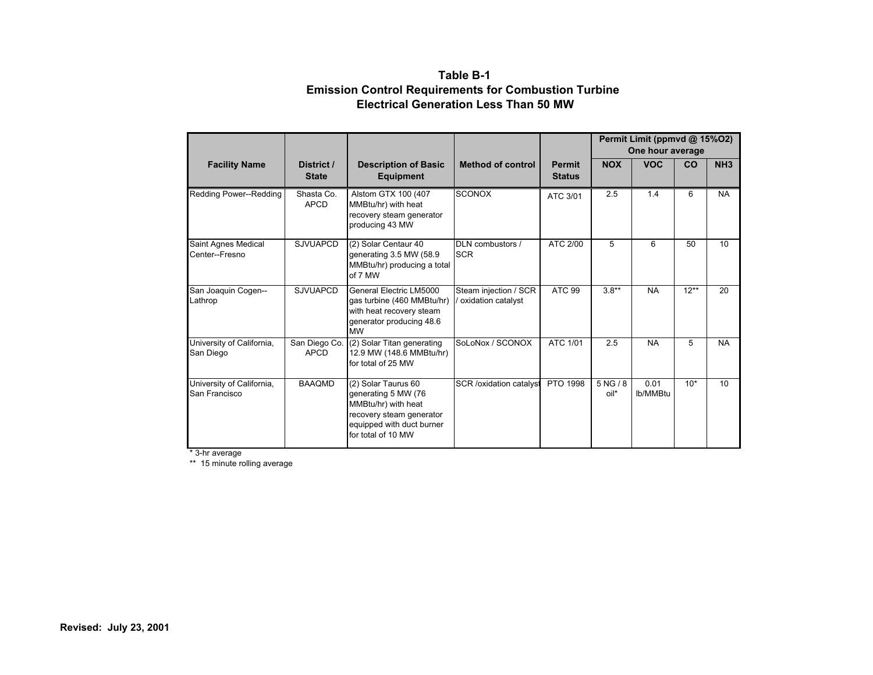#### **Table B-1 Emission Control Requirements for Combustion Turbine Electrical Generation Less Than 50 MW**

|                                            |                              |                                                                                                                                                  |                                             |                                | Permit Limit (ppmvd @ 15%O2)<br>One hour average |                  |        |                 |
|--------------------------------------------|------------------------------|--------------------------------------------------------------------------------------------------------------------------------------------------|---------------------------------------------|--------------------------------|--------------------------------------------------|------------------|--------|-----------------|
| <b>Facility Name</b>                       | District /<br><b>State</b>   | <b>Description of Basic</b><br><b>Equipment</b>                                                                                                  | <b>Method of control</b>                    | <b>Permit</b><br><b>Status</b> | <b>NOX</b>                                       | <b>VOC</b>       | CO     | NH <sub>3</sub> |
| Redding Power--Redding                     | Shasta Co.<br><b>APCD</b>    | Alstom GTX 100 (407<br>MMBtu/hr) with heat<br>recovery steam generator<br>producing 43 MW                                                        | <b>SCONOX</b>                               | ATC 3/01                       | 2.5                                              | 1.4              | 6      | <b>NA</b>       |
| Saint Agnes Medical<br>Center--Fresno      | <b>SJVUAPCD</b>              | (2) Solar Centaur 40<br>generating 3.5 MW (58.9<br>MMBtu/hr) producing a total<br>of 7 MW                                                        | DLN combustors /<br><b>SCR</b>              | ATC 2/00                       | 5                                                | 6                | 50     | 10              |
| San Joaquin Cogen--<br>Lathrop             | <b>SJVUAPCD</b>              | General Electric LM5000<br>gas turbine (460 MMBtu/hr)<br>with heat recovery steam<br>generator producing 48.6<br><b>MW</b>                       | Steam injection / SCR<br>oxidation catalyst | <b>ATC 99</b>                  | $3.8**$                                          | <b>NA</b>        | $12**$ | 20              |
| University of California,<br>San Diego     | San Diego Co.<br><b>APCD</b> | (2) Solar Titan generating<br>12.9 MW (148.6 MMBtu/hr)<br>for total of 25 MW                                                                     | SoLoNox / SCONOX                            | ATC 1/01                       | 2.5                                              | <b>NA</b>        | 5      | <b>NA</b>       |
| University of California,<br>San Francisco | <b>BAAQMD</b>                | (2) Solar Taurus 60<br>generating 5 MW (76<br>MMBtu/hr) with heat<br>recovery steam generator<br>equipped with duct burner<br>for total of 10 MW | <b>SCR</b> /oxidation catalyst              | PTO 1998                       | 5NG/8<br>oil*                                    | 0.01<br>lb/MMBtu | $10*$  | 10              |

\* 3-hr average

\*\* 15 minute rolling average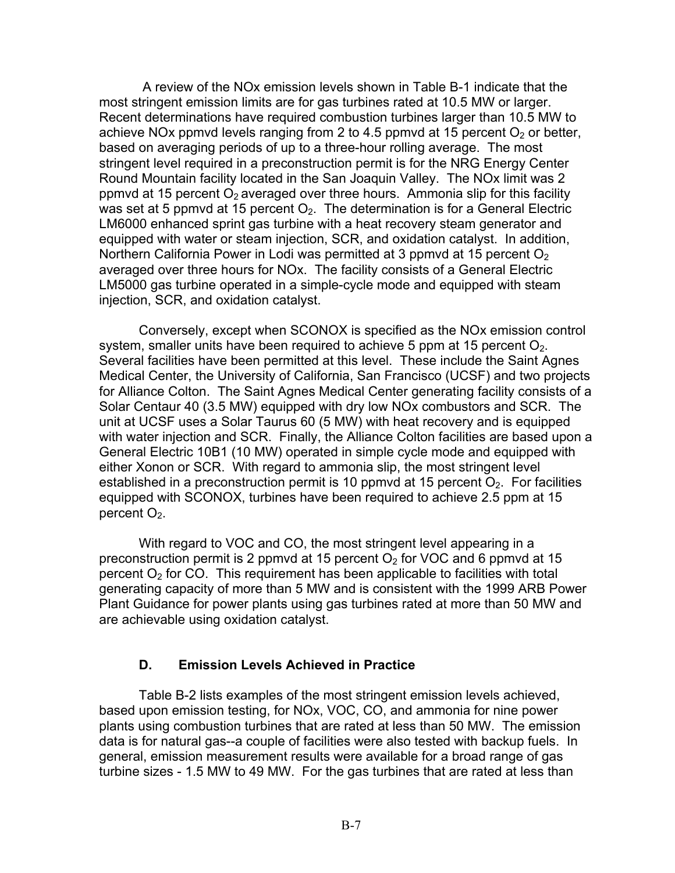A review of the NOx emission levels shown in Table B-1 indicate that the most stringent emission limits are for gas turbines rated at 10.5 MW or larger. Recent determinations have required combustion turbines larger than 10.5 MW to achieve NO<sub>x</sub> ppmvd levels ranging from 2 to 4.5 ppmvd at 15 percent  $O<sub>2</sub>$  or better, based on averaging periods of up to a three-hour rolling average. The most stringent level required in a preconstruction permit is for the NRG Energy Center Round Mountain facility located in the San Joaquin Valley. The NOx limit was 2 ppmvd at 15 percent  $O_2$  averaged over three hours. Ammonia slip for this facility was set at 5 ppmvd at 15 percent  $O<sub>2</sub>$ . The determination is for a General Electric LM6000 enhanced sprint gas turbine with a heat recovery steam generator and equipped with water or steam injection, SCR, and oxidation catalyst. In addition, Northern California Power in Lodi was permitted at 3 ppmvd at 15 percent  $O<sub>2</sub>$ averaged over three hours for NOx. The facility consists of a General Electric LM5000 gas turbine operated in a simple-cycle mode and equipped with steam injection, SCR, and oxidation catalyst.

Conversely, except when SCONOX is specified as the NOx emission control system, smaller units have been required to achieve 5 ppm at 15 percent  $O<sub>2</sub>$ . Several facilities have been permitted at this level. These include the Saint Agnes Medical Center, the University of California, San Francisco (UCSF) and two projects for Alliance Colton. The Saint Agnes Medical Center generating facility consists of a Solar Centaur 40 (3.5 MW) equipped with dry low NOx combustors and SCR. The unit at UCSF uses a Solar Taurus 60 (5 MW) with heat recovery and is equipped with water injection and SCR. Finally, the Alliance Colton facilities are based upon a General Electric 10B1 (10 MW) operated in simple cycle mode and equipped with either Xonon or SCR. With regard to ammonia slip, the most stringent level established in a preconstruction permit is 10 ppmvd at 15 percent  $O<sub>2</sub>$ . For facilities equipped with SCONOX, turbines have been required to achieve 2.5 ppm at 15 percent  $O<sub>2</sub>$ .

With regard to VOC and CO, the most stringent level appearing in a preconstruction permit is 2 ppmvd at 15 percent  $O<sub>2</sub>$  for VOC and 6 ppmvd at 15 percent  $O<sub>2</sub>$  for CO. This requirement has been applicable to facilities with total generating capacity of more than 5 MW and is consistent with the 1999 ARB Power Plant Guidance for power plants using gas turbines rated at more than 50 MW and are achievable using oxidation catalyst.

#### **D. Emission Levels Achieved in Practice**

Table B-2 lists examples of the most stringent emission levels achieved, based upon emission testing, for NOx, VOC, CO, and ammonia for nine power plants using combustion turbines that are rated at less than 50 MW. The emission data is for natural gas--a couple of facilities were also tested with backup fuels. In general, emission measurement results were available for a broad range of gas turbine sizes - 1.5 MW to 49 MW. For the gas turbines that are rated at less than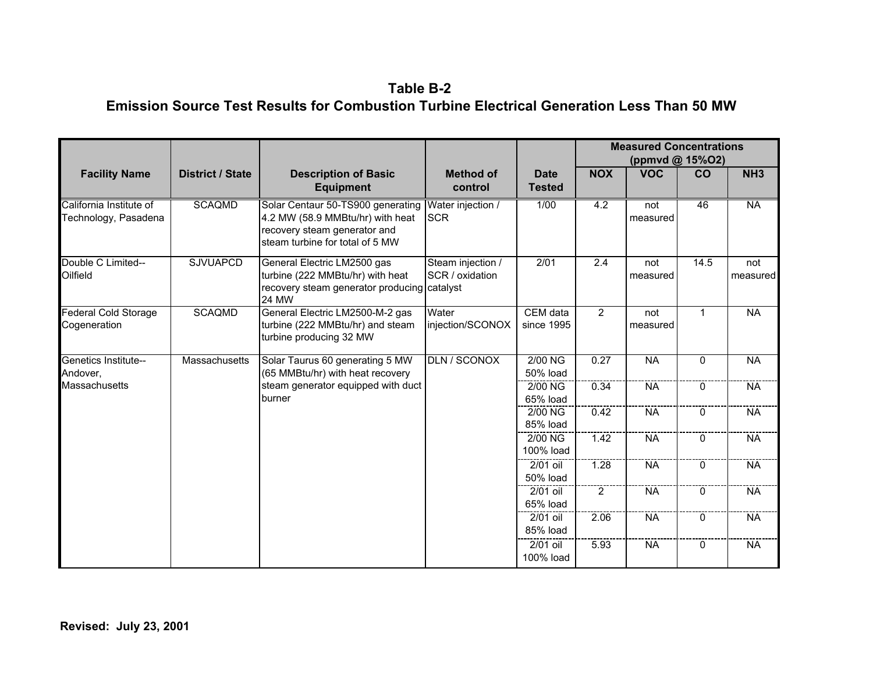#### **Table B-2 Emission Source Test Results for Combustion Turbine Electrical Generation Less Than 50 MW**

|                                                 |                         |                                                                                                                                          |                                      |                              |                | <b>Measured Concentrations</b><br>(ppmvd @ 15%O2) |              |                          |
|-------------------------------------------------|-------------------------|------------------------------------------------------------------------------------------------------------------------------------------|--------------------------------------|------------------------------|----------------|---------------------------------------------------|--------------|--------------------------|
| <b>Facility Name</b>                            | <b>District / State</b> | <b>Description of Basic</b><br><b>Equipment</b>                                                                                          | <b>Method of</b><br>control          | <b>Date</b><br><b>Tested</b> | <b>NOX</b>     | <b>VOC</b>                                        | CO           | NH <sub>3</sub>          |
| California Institute of<br>Technology, Pasadena | <b>SCAQMD</b>           | Solar Centaur 50-TS900 generating<br>4.2 MW (58.9 MMBtu/hr) with heat<br>recovery steam generator and<br>steam turbine for total of 5 MW | Water injection /<br><b>SCR</b>      | 1/00                         | 4.2            | not<br>measured                                   | 46           | $\overline{\mathsf{NA}}$ |
| Double C Limited--<br>Oilfield                  | <b>SJVUAPCD</b>         | General Electric LM2500 gas<br>turbine (222 MMBtu/hr) with heat<br>recovery steam generator producing catalyst<br>24 MW                  | Steam injection /<br>SCR / oxidation | 2/01                         | 2.4            | not<br>measured                                   | 14.5         | not<br>measured          |
| Federal Cold Storage<br>Cogeneration            | <b>SCAQMD</b>           | General Electric LM2500-M-2 gas<br>turbine (222 MMBtu/hr) and steam<br>turbine producing 32 MW                                           | Water<br>injection/SCONOX            | CEM data<br>since 1995       | $\overline{2}$ | not<br>measured                                   | $\mathbf{1}$ | <b>NA</b>                |
| <b>Genetics Institute--</b><br>Andover,         | <b>Massachusetts</b>    | Solar Taurus 60 generating 5 MW<br>(65 MMBtu/hr) with heat recovery                                                                      | <b>DLN / SCONOX</b>                  | $2/00$ NG<br>50% load        | 0.27           | <b>NA</b>                                         | $\Omega$     | <b>NA</b>                |
| Massachusetts                                   |                         | steam generator equipped with duct<br>burner                                                                                             |                                      | 2/00 NG<br>65% load          | 0.34           | <b>NA</b>                                         | 0            | <b>NA</b>                |
|                                                 |                         |                                                                                                                                          |                                      | 2/00 NG<br>85% load          | 0.42           | <b>NA</b>                                         | $\Omega$     | <b>NA</b>                |
|                                                 |                         |                                                                                                                                          |                                      | 2/00 NG<br>100% load         | 1.42           | <b>NA</b>                                         | $\Omega$     | <b>NA</b>                |
|                                                 |                         |                                                                                                                                          |                                      | 2/01 oil<br>50% load         | 1.28           | <b>NA</b>                                         | $\mathbf{0}$ | <b>NA</b>                |
|                                                 |                         |                                                                                                                                          |                                      | $2/01$ oil<br>65% load       | 2              | <b>NA</b>                                         | $\Omega$     | <b>NA</b>                |
|                                                 |                         |                                                                                                                                          |                                      | 2/01 oil<br>85% load         | 2.06           | <b>NA</b>                                         | $\mathbf{0}$ | <b>NA</b>                |
|                                                 |                         |                                                                                                                                          |                                      | 2/01 oil<br>100% load        | 5.93           | <b>NA</b>                                         | $\mathbf 0$  | <b>NA</b>                |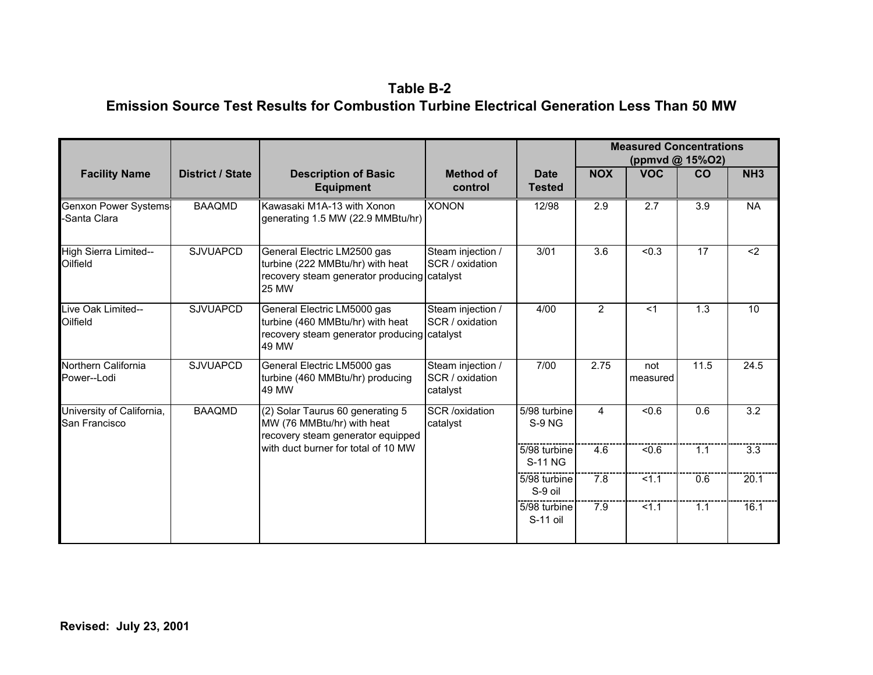**Table B-2 Emission Source Test Results for Combustion Turbine Electrical Generation Less Than 50 MW** 

|                                            |                         |                                                                                                                         |                                                  |                                |                | <b>Measured Concentrations</b><br>(ppmvd @ 15%O2) |                  |                  |
|--------------------------------------------|-------------------------|-------------------------------------------------------------------------------------------------------------------------|--------------------------------------------------|--------------------------------|----------------|---------------------------------------------------|------------------|------------------|
| <b>Facility Name</b>                       | <b>District / State</b> | <b>Description of Basic</b><br><b>Equipment</b>                                                                         | <b>Method of</b><br>control                      | <b>Date</b><br><b>Tested</b>   | <b>NOX</b>     | <b>VOC</b>                                        | <b>CO</b>        | NH <sub>3</sub>  |
| Genxon Power Systems<br>Santa Clara        | <b>BAAQMD</b>           | Kawasaki M1A-13 with Xonon<br>generating 1.5 MW (22.9 MMBtu/hr)                                                         | <b>XONON</b>                                     | 12/98                          | 2.9            | $\overline{2.7}$                                  | $\overline{3.9}$ | <b>NA</b>        |
| High Sierra Limited--<br>Oilfield          | <b>SJVUAPCD</b>         | General Electric LM2500 gas<br>turbine (222 MMBtu/hr) with heat<br>recovery steam generator producing catalyst<br>25 MW | Steam injection /<br>SCR / oxidation             | 3/01                           | 3.6            | < 0.3                                             | 17               | $2$              |
| Live Oak Limited--<br>Oilfield             | <b>SJVUAPCD</b>         | General Electric LM5000 gas<br>turbine (460 MMBtu/hr) with heat<br>recovery steam generator producing catalyst<br>49 MW | Steam injection /<br>SCR / oxidation             | 4/00                           | $\overline{2}$ | $<$ 1                                             | 1.3              | 10               |
| Northern California<br>Power--Lodi         | <b>SJVUAPCD</b>         | General Electric LM5000 gas<br>turbine (460 MMBtu/hr) producing<br>49 MW                                                | Steam injection /<br>SCR / oxidation<br>catalyst | 7/00                           | 2.75           | not<br>measured                                   | 11.5             | 24.5             |
| University of California,<br>San Francisco | <b>BAAQMD</b>           | (2) Solar Taurus 60 generating 5<br>MW (76 MMBtu/hr) with heat<br>recovery steam generator equipped                     | <b>SCR</b> /oxidation<br>catalyst                | 5/98 turbine<br>S-9 NG         | $\overline{4}$ | < 0.6                                             | 0.6              | $\overline{3.2}$ |
|                                            |                         | with duct burner for total of 10 MW                                                                                     |                                                  | 5/98 turbine<br><b>S-11 NG</b> | 4.6            | < 0.6                                             | 1.1              | $\overline{3.3}$ |
|                                            |                         |                                                                                                                         |                                                  | 5/98 turbine<br>S-9 oil        | 7.8            | 1.1                                               | 0.6              | 20.1             |
|                                            |                         |                                                                                                                         |                                                  | 5/98 turbine<br>S-11 oil       | 7.9            | 1.1                                               | 1.1              | 16.1             |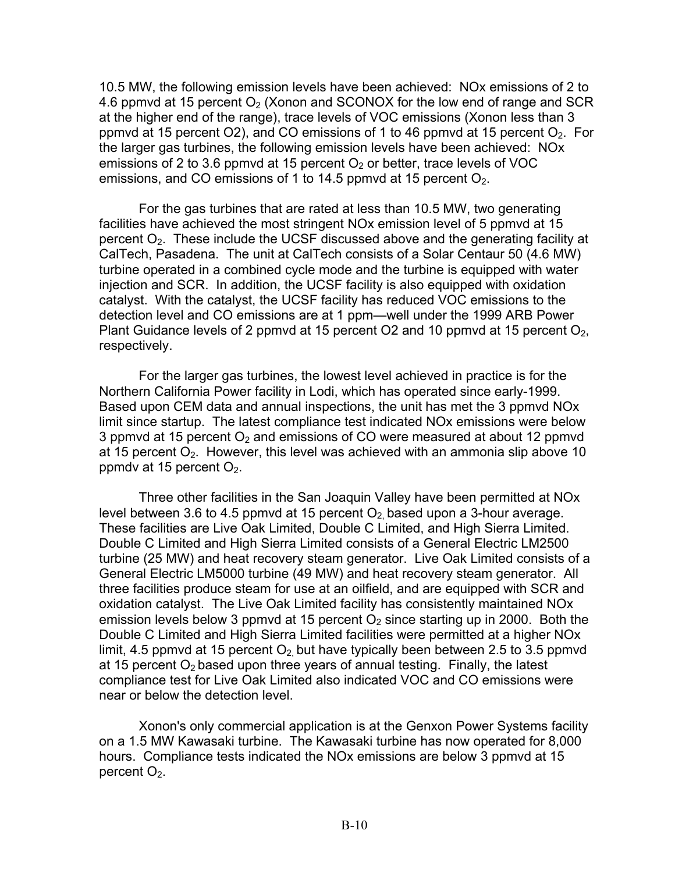10.5 MW, the following emission levels have been achieved: NOx emissions of 2 to 4.6 ppmvd at 15 percent  $O<sub>2</sub>$  (Xonon and SCONOX for the low end of range and SCR at the higher end of the range), trace levels of VOC emissions (Xonon less than 3 ppmvd at 15 percent  $O(2)$ , and CO emissions of 1 to 46 ppmvd at 15 percent  $O<sub>2</sub>$ . For the larger gas turbines, the following emission levels have been achieved: NOx emissions of 2 to 3.6 ppmvd at 15 percent  $O<sub>2</sub>$  or better, trace levels of VOC emissions, and CO emissions of 1 to 14.5 ppmvd at 15 percent  $O<sub>2</sub>$ .

For the gas turbines that are rated at less than 10.5 MW, two generating facilities have achieved the most stringent NOx emission level of 5 ppmvd at 15 percent  $O<sub>2</sub>$ . These include the UCSF discussed above and the generating facility at CalTech, Pasadena. The unit at CalTech consists of a Solar Centaur 50 (4.6 MW) turbine operated in a combined cycle mode and the turbine is equipped with water injection and SCR. In addition, the UCSF facility is also equipped with oxidation catalyst. With the catalyst, the UCSF facility has reduced VOC emissions to the detection level and CO emissions are at 1 ppm—well under the 1999 ARB Power Plant Guidance levels of 2 ppmvd at 15 percent O2 and 10 ppmvd at 15 percent  $O<sub>2</sub>$ , respectively.

For the larger gas turbines, the lowest level achieved in practice is for the Northern California Power facility in Lodi, which has operated since early-1999. Based upon CEM data and annual inspections, the unit has met the 3 ppmvd NOx limit since startup. The latest compliance test indicated NOx emissions were below 3 ppmvd at 15 percent  $O<sub>2</sub>$  and emissions of CO were measured at about 12 ppmvd at 15 percent  $O<sub>2</sub>$ . However, this level was achieved with an ammonia slip above 10 ppmdy at 15 percent  $O_2$ .

Three other facilities in the San Joaquin Valley have been permitted at NOx level between 3.6 to 4.5 ppmvd at 15 percent  $O<sub>2</sub>$  based upon a 3-hour average. These facilities are Live Oak Limited, Double C Limited, and High Sierra Limited. Double C Limited and High Sierra Limited consists of a General Electric LM2500 turbine (25 MW) and heat recovery steam generator. Live Oak Limited consists of a General Electric LM5000 turbine (49 MW) and heat recovery steam generator. All three facilities produce steam for use at an oilfield, and are equipped with SCR and oxidation catalyst. The Live Oak Limited facility has consistently maintained NOx emission levels below 3 ppmvd at 15 percent  $O<sub>2</sub>$  since starting up in 2000. Both the Double C Limited and High Sierra Limited facilities were permitted at a higher NOx limit, 4.5 ppmvd at 15 percent  $O_2$  but have typically been between 2.5 to 3.5 ppmvd at 15 percent  $O<sub>2</sub>$  based upon three years of annual testing. Finally, the latest compliance test for Live Oak Limited also indicated VOC and CO emissions were near or below the detection level.

Xonon's only commercial application is at the Genxon Power Systems facility on a 1.5 MW Kawasaki turbine. The Kawasaki turbine has now operated for 8,000 hours. Compliance tests indicated the NOx emissions are below 3 ppmvd at 15 percent  $O<sub>2</sub>$ .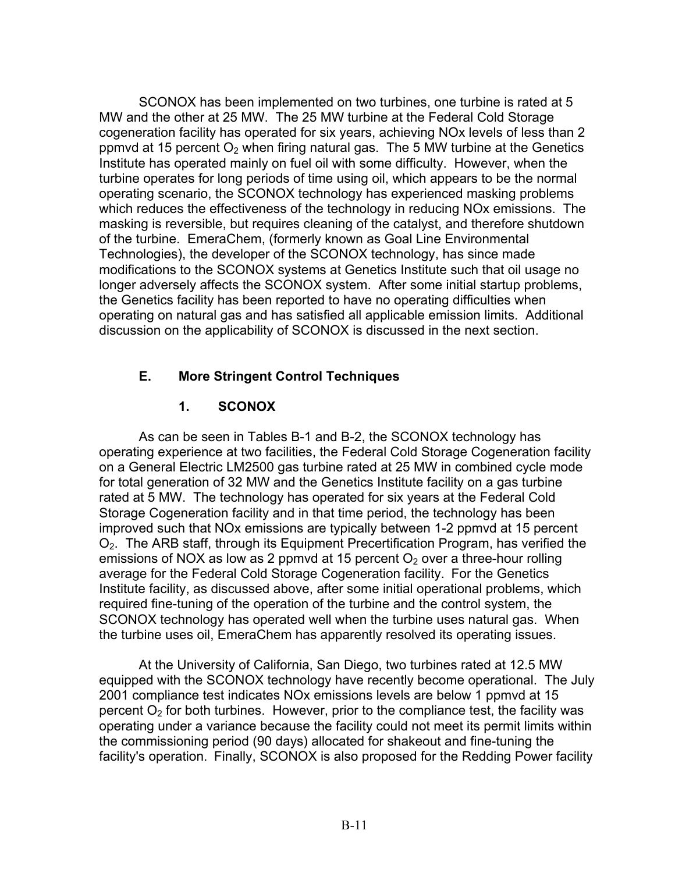SCONOX has been implemented on two turbines, one turbine is rated at 5 MW and the other at 25 MW. The 25 MW turbine at the Federal Cold Storage cogeneration facility has operated for six years, achieving NOx levels of less than 2 ppmvd at 15 percent  $O<sub>2</sub>$  when firing natural gas. The 5 MW turbine at the Genetics Institute has operated mainly on fuel oil with some difficulty. However, when the turbine operates for long periods of time using oil, which appears to be the normal operating scenario, the SCONOX technology has experienced masking problems which reduces the effectiveness of the technology in reducing NOx emissions. The masking is reversible, but requires cleaning of the catalyst, and therefore shutdown of the turbine. EmeraChem, (formerly known as Goal Line Environmental Technologies), the developer of the SCONOX technology, has since made modifications to the SCONOX systems at Genetics Institute such that oil usage no longer adversely affects the SCONOX system. After some initial startup problems, the Genetics facility has been reported to have no operating difficulties when operating on natural gas and has satisfied all applicable emission limits. Additional discussion on the applicability of SCONOX is discussed in the next section.

## **E. More Stringent Control Techniques**

## **1. SCONOX**

 average for the Federal Cold Storage Cogeneration facility. For the Genetics As can be seen in Tables B-1 and B-2, the SCONOX technology has operating experience at two facilities, the Federal Cold Storage Cogeneration facility on a General Electric LM2500 gas turbine rated at 25 MW in combined cycle mode for total generation of 32 MW and the Genetics Institute facility on a gas turbine rated at 5 MW. The technology has operated for six years at the Federal Cold Storage Cogeneration facility and in that time period, the technology has been improved such that NOx emissions are typically between 1-2 ppmvd at 15 percent O2. The ARB staff, through its Equipment Precertification Program, has verified the emissions of NOX as low as 2 ppmvd at 15 percent  $O<sub>2</sub>$  over a three-hour rolling Institute facility, as discussed above, after some initial operational problems, which required fine-tuning of the operation of the turbine and the control system, the SCONOX technology has operated well when the turbine uses natural gas. When the turbine uses oil, EmeraChem has apparently resolved its operating issues.

 facility's operation. Finally, SCONOX is also proposed for the Redding Power facility At the University of California, San Diego, two turbines rated at 12.5 MW equipped with the SCONOX technology have recently become operational. The July 2001 compliance test indicates NOx emissions levels are below 1 ppmvd at 15 percent  $O<sub>2</sub>$  for both turbines. However, prior to the compliance test, the facility was operating under a variance because the facility could not meet its permit limits within the commissioning period (90 days) allocated for shakeout and fine-tuning the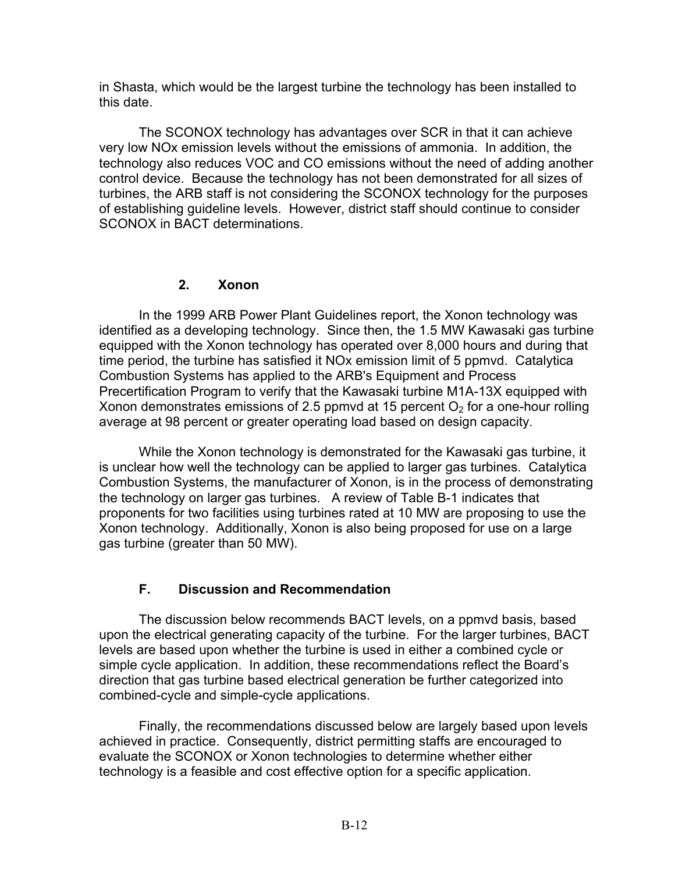in Shasta, which would be the largest turbine the technology has been installed to this date.

The SCONOX technology has advantages over SCR in that it can achieve very low NOx emission levels without the emissions of ammonia. In addition, the technology also reduces VOC and CO emissions without the need of adding another control device. Because the technology has not been demonstrated for all sizes of turbines, the ARB staff is not considering the SCONOX technology for the purposes of establishing guideline levels. However, district staff should continue to consider SCONOX in BACT determinations.

#### **2. Xonon**

In the 1999 ARB Power Plant Guidelines report, the Xonon technology was identified as a developing technology. Since then, the 1.5 MW Kawasaki gas turbine equipped with the Xonon technology has operated over 8,000 hours and during that time period, the turbine has satisfied it NOx emission limit of 5 ppmvd. Catalytica Combustion Systems has applied to the ARB's Equipment and Process Precertification Program to verify that the Kawasaki turbine M1A-13X equipped with Xonon demonstrates emissions of 2.5 ppmvd at 15 percent  $O<sub>2</sub>$  for a one-hour rolling average at 98 percent or greater operating load based on design capacity.

While the Xonon technology is demonstrated for the Kawasaki gas turbine, it is unclear how well the technology can be applied to larger gas turbines. Catalytica Combustion Systems, the manufacturer of Xonon, is in the process of demonstrating the technology on larger gas turbines. A review of Table B-1 indicates that proponents for two facilities using turbines rated at 10 MW are proposing to use the Xonon technology. Additionally, Xonon is also being proposed for use on a large gas turbine (greater than 50 MW).

## **F. Discussion and Recommendation**

The discussion below recommends BACT levels, on a ppmvd basis, based upon the electrical generating capacity of the turbine. For the larger turbines, BACT levels are based upon whether the turbine is used in either a combined cycle or simple cycle application. In addition, these recommendations reflect the Board's direction that gas turbine based electrical generation be further categorized into combined-cycle and simple-cycle applications.

Finally, the recommendations discussed below are largely based upon levels achieved in practice. Consequently, district permitting staffs are encouraged to evaluate the SCONOX or Xonon technologies to determine whether either technology is a feasible and cost effective option for a specific application.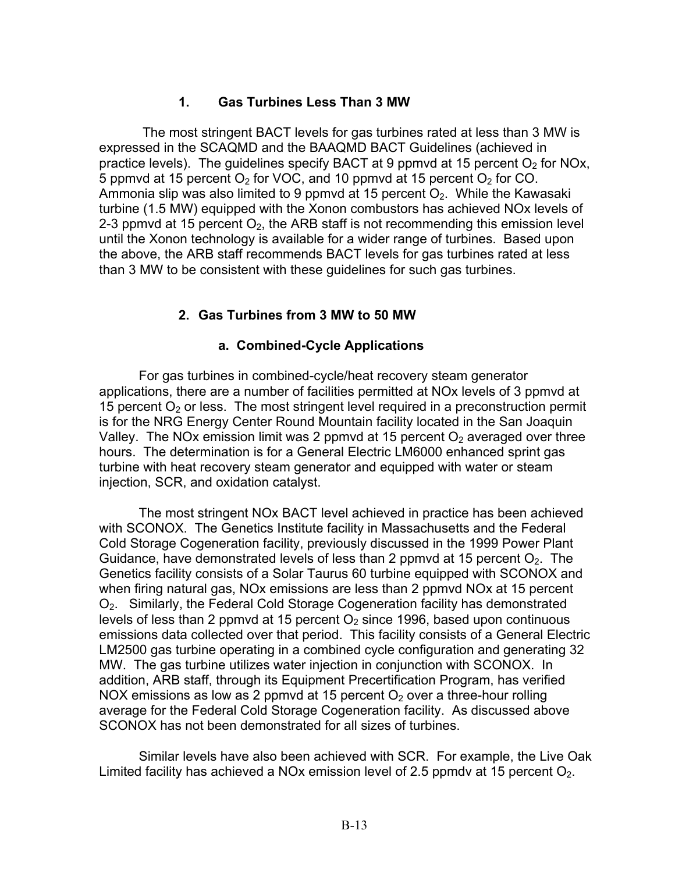## **1. Gas Turbines Less Than 3 MW**

 The most stringent BACT levels for gas turbines rated at less than 3 MW is expressed in the SCAQMD and the BAAQMD BACT Guidelines (achieved in practice levels). The guidelines specify BACT at 9 ppmvd at 15 percent  $O<sub>2</sub>$  for NOx, 5 ppmvd at 15 percent  $O_2$  for VOC, and 10 ppmvd at 15 percent  $O_2$  for CO. Ammonia slip was also limited to 9 ppmvd at 15 percent  $O<sub>2</sub>$ . While the Kawasaki turbine (1.5 MW) equipped with the Xonon combustors has achieved NOx levels of 2-3 ppmvd at 15 percent  $O_2$ , the ARB staff is not recommending this emission level until the Xonon technology is available for a wider range of turbines. Based upon the above, the ARB staff recommends BACT levels for gas turbines rated at less than 3 MW to be consistent with these guidelines for such gas turbines.

#### **2. Gas Turbines from 3 MW to 50 MW**

#### **a. Combined-Cycle Applications**

For gas turbines in combined-cycle/heat recovery steam generator applications, there are a number of facilities permitted at NOx levels of 3 ppmvd at 15 percent  $O<sub>2</sub>$  or less. The most stringent level required in a preconstruction permit is for the NRG Energy Center Round Mountain facility located in the San Joaquin Valley. The NOx emission limit was 2 ppmvd at 15 percent  $O<sub>2</sub>$  averaged over three hours. The determination is for a General Electric LM6000 enhanced sprint gas turbine with heat recovery steam generator and equipped with water or steam injection, SCR, and oxidation catalyst.

The most stringent NOx BACT level achieved in practice has been achieved with SCONOX. The Genetics Institute facility in Massachusetts and the Federal Cold Storage Cogeneration facility, previously discussed in the 1999 Power Plant Guidance, have demonstrated levels of less than 2 ppmvd at 15 percent  $O<sub>2</sub>$ . The Genetics facility consists of a Solar Taurus 60 turbine equipped with SCONOX and when firing natural gas, NOx emissions are less than 2 ppmvd NOx at 15 percent O2. Similarly, the Federal Cold Storage Cogeneration facility has demonstrated levels of less than 2 ppmvd at 15 percent  $O<sub>2</sub>$  since 1996, based upon continuous emissions data collected over that period. This facility consists of a General Electric LM2500 gas turbine operating in a combined cycle configuration and generating 32 MW. The gas turbine utilizes water injection in conjunction with SCONOX. In addition, ARB staff, through its Equipment Precertification Program, has verified NOX emissions as low as 2 ppmvd at 15 percent  $O<sub>2</sub>$  over a three-hour rolling average for the Federal Cold Storage Cogeneration facility. As discussed above SCONOX has not been demonstrated for all sizes of turbines.

Similar levels have also been achieved with SCR. For example, the Live Oak Limited facility has achieved a NOx emission level of 2.5 ppmdy at 15 percent  $O<sub>2</sub>$ .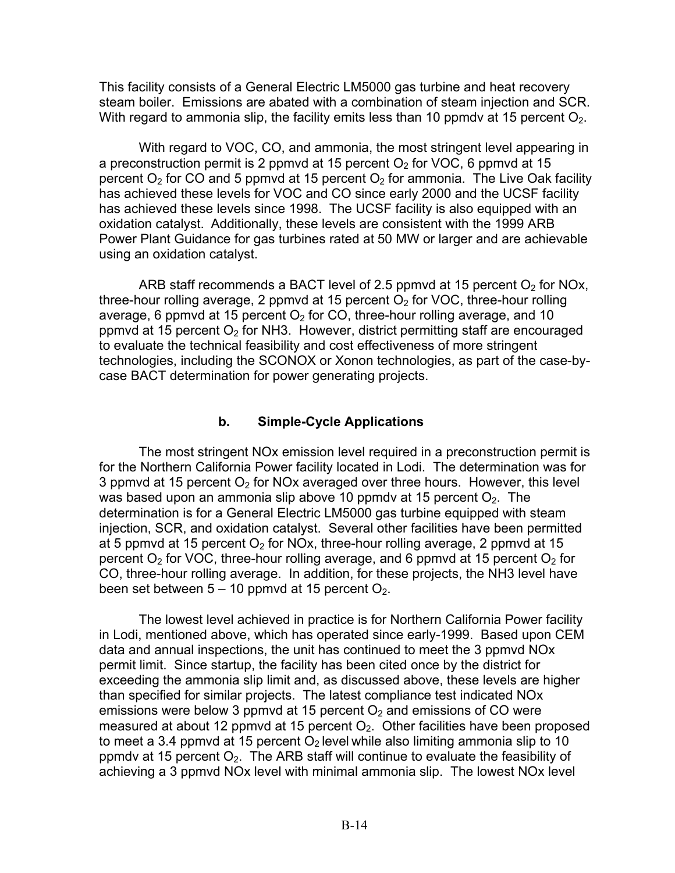This facility consists of a General Electric LM5000 gas turbine and heat recovery steam boiler. Emissions are abated with a combination of steam injection and SCR. With regard to ammonia slip, the facility emits less than 10 ppmdy at 15 percent  $O<sub>2</sub>$ .

 oxidation catalyst. Additionally, these levels are consistent with the 1999 ARB With regard to VOC, CO, and ammonia, the most stringent level appearing in a preconstruction permit is 2 ppmvd at 15 percent  $O<sub>2</sub>$  for VOC, 6 ppmvd at 15 percent  $O_2$  for CO and 5 ppmvd at 15 percent  $O_2$  for ammonia. The Live Oak facility has achieved these levels for VOC and CO since early 2000 and the UCSF facility has achieved these levels since 1998. The UCSF facility is also equipped with an Power Plant Guidance for gas turbines rated at 50 MW or larger and are achievable using an oxidation catalyst.

ARB staff recommends a BACT level of 2.5 ppmvd at 15 percent  $O<sub>2</sub>$  for NOx, three-hour rolling average, 2 ppmvd at 15 percent  $O<sub>2</sub>$  for VOC, three-hour rolling average, 6 ppmvd at 15 percent  $O<sub>2</sub>$  for CO, three-hour rolling average, and 10 ppmvd at 15 percent  $O<sub>2</sub>$  for NH3. However, district permitting staff are encouraged to evaluate the technical feasibility and cost effectiveness of more stringent technologies, including the SCONOX or Xonon technologies, as part of the case-bycase BACT determination for power generating projects.

#### **b. Simple-Cycle Applications**

The most stringent NOx emission level required in a preconstruction permit is for the Northern California Power facility located in Lodi. The determination was for 3 ppmvd at 15 percent  $O<sub>2</sub>$  for NOx averaged over three hours. However, this level was based upon an ammonia slip above 10 ppmdy at 15 percent  $O<sub>2</sub>$ . The determination is for a General Electric LM5000 gas turbine equipped with steam injection, SCR, and oxidation catalyst. Several other facilities have been permitted at 5 ppmvd at 15 percent  $O_2$  for NOx, three-hour rolling average, 2 ppmvd at 15 percent  $O<sub>2</sub>$  for VOC, three-hour rolling average, and 6 ppmvd at 15 percent  $O<sub>2</sub>$  for CO, three-hour rolling average. In addition, for these projects, the NH3 level have been set between  $5 - 10$  ppmvd at 15 percent  $O<sub>2</sub>$ .

The lowest level achieved in practice is for Northern California Power facility in Lodi, mentioned above, which has operated since early-1999. Based upon CEM data and annual inspections, the unit has continued to meet the 3 ppmvd NOx permit limit. Since startup, the facility has been cited once by the district for exceeding the ammonia slip limit and, as discussed above, these levels are higher than specified for similar projects. The latest compliance test indicated NOx emissions were below 3 ppmvd at 15 percent  $O<sub>2</sub>$  and emissions of CO were measured at about 12 ppmvd at 15 percent  $O<sub>2</sub>$ . Other facilities have been proposed to meet a 3.4 ppmvd at 15 percent  $O<sub>2</sub>$  level while also limiting ammonia slip to 10 ppmdy at 15 percent  $O<sub>2</sub>$ . The ARB staff will continue to evaluate the feasibility of achieving a 3 ppmvd NOx level with minimal ammonia slip. The lowest NOx level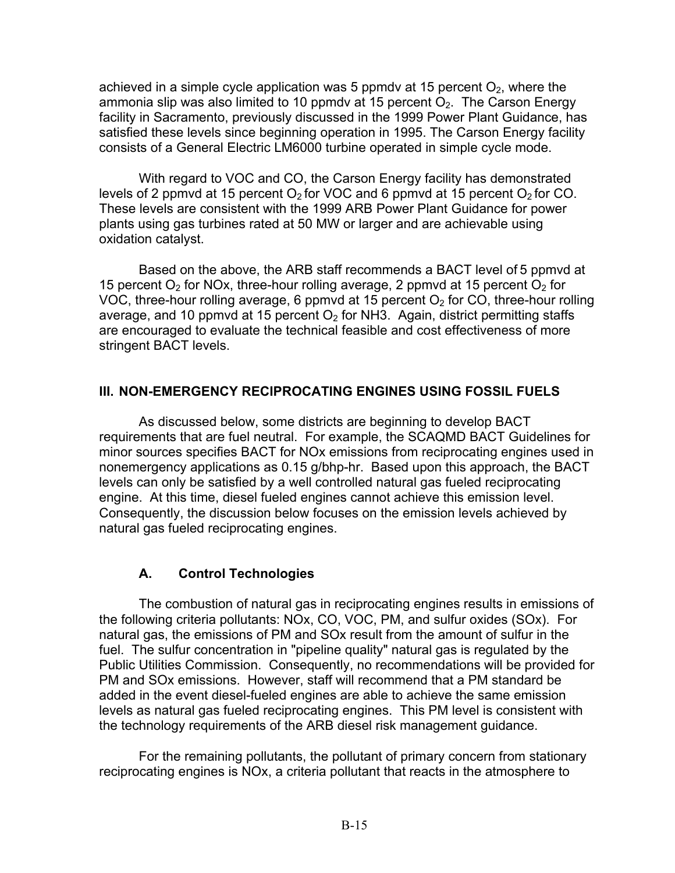achieved in a simple cycle application was 5 ppmdv at 15 percent  $O_2$ , where the ammonia slip was also limited to 10 ppmdv at 15 percent  $O<sub>2</sub>$ . The Carson Energy facility in Sacramento, previously discussed in the 1999 Power Plant Guidance, has satisfied these levels since beginning operation in 1995. The Carson Energy facility consists of a General Electric LM6000 turbine operated in simple cycle mode.

With regard to VOC and CO, the Carson Energy facility has demonstrated levels of 2 ppmvd at 15 percent  $O_2$  for VOC and 6 ppmvd at 15 percent  $O_2$  for CO. These levels are consistent with the 1999 ARB Power Plant Guidance for power plants using gas turbines rated at 50 MW or larger and are achievable using oxidation catalyst.

Based on the above, the ARB staff recommends a BACT level of 5 ppmvd at 15 percent  $O_2$  for NOx, three-hour rolling average, 2 ppmvd at 15 percent  $O_2$  for VOC, three-hour rolling average, 6 ppmvd at 15 percent  $O<sub>2</sub>$  for CO, three-hour rolling average, and 10 ppmvd at 15 percent  $O<sub>2</sub>$  for NH3. Again, district permitting staffs are encouraged to evaluate the technical feasible and cost effectiveness of more stringent BACT levels.

## **III. NON-EMERGENCY RECIPROCATING ENGINES USING FOSSIL FUELS**

As discussed below, some districts are beginning to develop BACT requirements that are fuel neutral. For example, the SCAQMD BACT Guidelines for minor sources specifies BACT for NOx emissions from reciprocating engines used in nonemergency applications as 0.15 g/bhp-hr. Based upon this approach, the BACT levels can only be satisfied by a well controlled natural gas fueled reciprocating engine. At this time, diesel fueled engines cannot achieve this emission level. Consequently, the discussion below focuses on the emission levels achieved by natural gas fueled reciprocating engines.

## **A. Control Technologies**

The combustion of natural gas in reciprocating engines results in emissions of the following criteria pollutants: NOx, CO, VOC, PM, and sulfur oxides (SOx). For natural gas, the emissions of PM and SOx result from the amount of sulfur in the fuel. The sulfur concentration in "pipeline quality" natural gas is regulated by the Public Utilities Commission. Consequently, no recommendations will be provided for PM and SOx emissions. However, staff will recommend that a PM standard be added in the event diesel-fueled engines are able to achieve the same emission levels as natural gas fueled reciprocating engines. This PM level is consistent with the technology requirements of the ARB diesel risk management guidance.

For the remaining pollutants, the pollutant of primary concern from stationary reciprocating engines is NOx, a criteria pollutant that reacts in the atmosphere to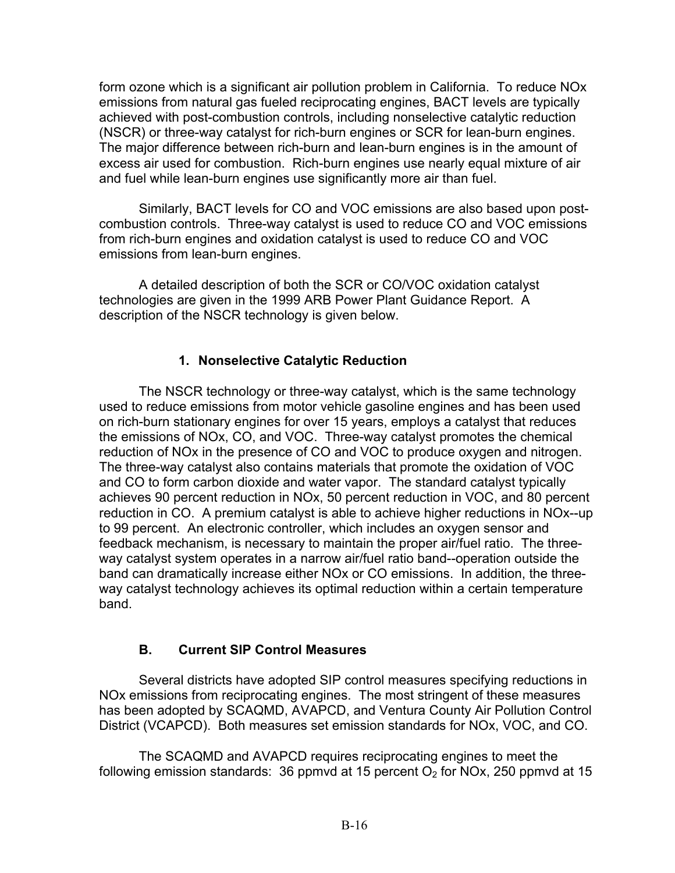form ozone which is a significant air pollution problem in California. To reduce NOx emissions from natural gas fueled reciprocating engines, BACT levels are typically achieved with post-combustion controls, including nonselective catalytic reduction (NSCR) or three-way catalyst for rich-burn engines or SCR for lean-burn engines. The major difference between rich-burn and lean-burn engines is in the amount of excess air used for combustion. Rich-burn engines use nearly equal mixture of air and fuel while lean-burn engines use significantly more air than fuel.

Similarly, BACT levels for CO and VOC emissions are also based upon postcombustion controls. Three-way catalyst is used to reduce CO and VOC emissions from rich-burn engines and oxidation catalyst is used to reduce CO and VOC emissions from lean-burn engines.

A detailed description of both the SCR or CO/VOC oxidation catalyst technologies are given in the 1999 ARB Power Plant Guidance Report. A description of the NSCR technology is given below.

## **1. Nonselective Catalytic Reduction**

The NSCR technology or three-way catalyst, which is the same technology used to reduce emissions from motor vehicle gasoline engines and has been used on rich-burn stationary engines for over 15 years, employs a catalyst that reduces the emissions of NOx, CO, and VOC. Three-way catalyst promotes the chemical reduction of NOx in the presence of CO and VOC to produce oxygen and nitrogen. The three-way catalyst also contains materials that promote the oxidation of VOC and CO to form carbon dioxide and water vapor. The standard catalyst typically achieves 90 percent reduction in NOx, 50 percent reduction in VOC, and 80 percent reduction in CO. A premium catalyst is able to achieve higher reductions in NOx--up to 99 percent. An electronic controller, which includes an oxygen sensor and feedback mechanism, is necessary to maintain the proper air/fuel ratio. The threeway catalyst system operates in a narrow air/fuel ratio band--operation outside the band can dramatically increase either NOx or CO emissions. In addition, the threeway catalyst technology achieves its optimal reduction within a certain temperature band.

# **B. Current SIP Control Measures**

Several districts have adopted SIP control measures specifying reductions in NOx emissions from reciprocating engines. The most stringent of these measures has been adopted by SCAQMD, AVAPCD, and Ventura County Air Pollution Control District (VCAPCD). Both measures set emission standards for NOx, VOC, and CO.

The SCAQMD and AVAPCD requires reciprocating engines to meet the following emission standards: 36 ppmvd at 15 percent  $O<sub>2</sub>$  for NOx, 250 ppmvd at 15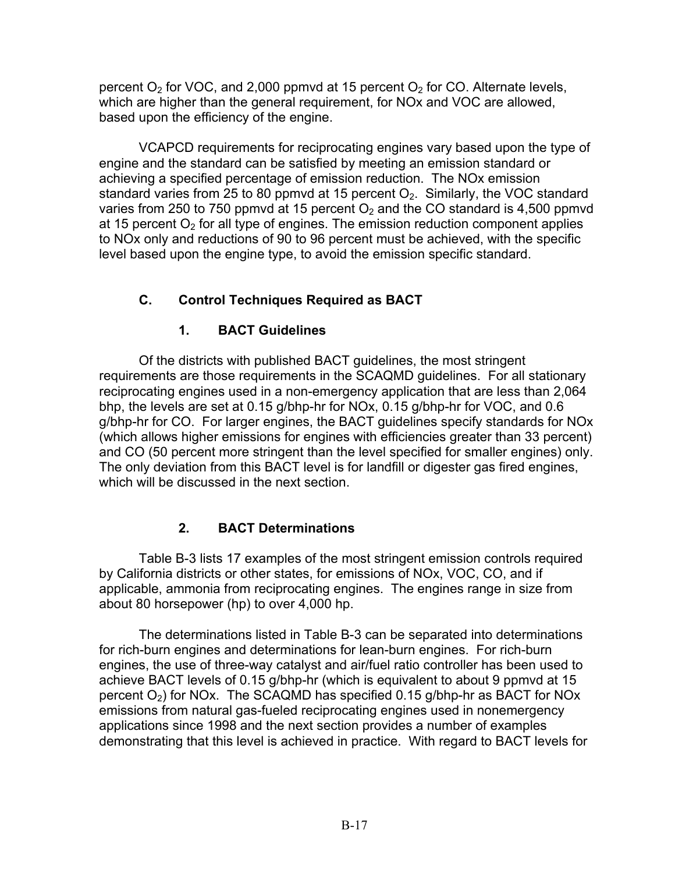percent  $O<sub>2</sub>$  for VOC, and 2,000 ppmvd at 15 percent  $O<sub>2</sub>$  for CO. Alternate levels, which are higher than the general requirement, for NOx and VOC are allowed, based upon the efficiency of the engine.

VCAPCD requirements for reciprocating engines vary based upon the type of engine and the standard can be satisfied by meeting an emission standard or achieving a specified percentage of emission reduction. The NOx emission standard varies from 25 to 80 ppmvd at 15 percent  $O<sub>2</sub>$ . Similarly, the VOC standard varies from 250 to 750 ppmvd at 15 percent  $O<sub>2</sub>$  and the CO standard is 4,500 ppmvd at 15 percent  $O<sub>2</sub>$  for all type of engines. The emission reduction component applies to NOx only and reductions of 90 to 96 percent must be achieved, with the specific level based upon the engine type, to avoid the emission specific standard.

# **C. Control Techniques Required as BACT**

## **1. BACT Guidelines**

Of the districts with published BACT guidelines, the most stringent requirements are those requirements in the SCAQMD guidelines. For all stationary reciprocating engines used in a non-emergency application that are less than 2,064 bhp, the levels are set at 0.15 g/bhp-hr for NOx, 0.15 g/bhp-hr for VOC, and 0.6 g/bhp-hr for CO. For larger engines, the BACT guidelines specify standards for NOx (which allows higher emissions for engines with efficiencies greater than 33 percent) and CO (50 percent more stringent than the level specified for smaller engines) only. The only deviation from this BACT level is for landfill or digester gas fired engines, which will be discussed in the next section.

# **2. BACT Determinations**

Table B-3 lists 17 examples of the most stringent emission controls required by California districts or other states, for emissions of NOx, VOC, CO, and if applicable, ammonia from reciprocating engines. The engines range in size from about 80 horsepower (hp) to over 4,000 hp.

The determinations listed in Table B-3 can be separated into determinations for rich-burn engines and determinations for lean-burn engines. For rich-burn engines, the use of three-way catalyst and air/fuel ratio controller has been used to achieve BACT levels of 0.15 g/bhp-hr (which is equivalent to about 9 ppmvd at 15 percent  $O_2$ ) for NOx. The SCAQMD has specified 0.15 g/bhp-hr as BACT for NOx emissions from natural gas-fueled reciprocating engines used in nonemergency applications since 1998 and the next section provides a number of examples demonstrating that this level is achieved in practice. With regard to BACT levels for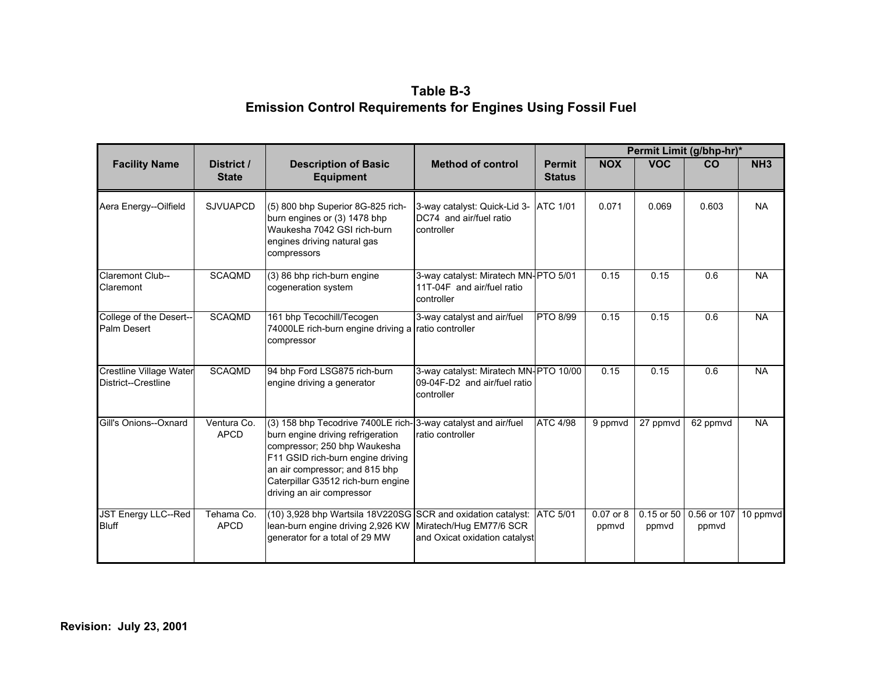## **Table B-3 Emission Control Requirements for Engines Using Fossil Fuel**

|                                                       |                            |                                                                                                                                                                                                                                                                              |                                                                                     |                                | Permit Limit (g/bhp-hr)* |                         |                      |                 |
|-------------------------------------------------------|----------------------------|------------------------------------------------------------------------------------------------------------------------------------------------------------------------------------------------------------------------------------------------------------------------------|-------------------------------------------------------------------------------------|--------------------------------|--------------------------|-------------------------|----------------------|-----------------|
| <b>Facility Name</b>                                  | District /<br><b>State</b> | <b>Description of Basic</b><br><b>Equipment</b>                                                                                                                                                                                                                              | <b>Method of control</b>                                                            | <b>Permit</b><br><b>Status</b> | <b>NOX</b>               | <b>VOC</b>              | <b>CO</b>            | NH <sub>3</sub> |
| Aera Energy--Oilfield                                 | <b>SJVUAPCD</b>            | (5) 800 bhp Superior 8G-825 rich-<br>burn engines or (3) 1478 bhp<br>Waukesha 7042 GSI rich-burn<br>engines driving natural gas<br>compressors                                                                                                                               | 3-way catalyst: Quick-Lid 3-<br>DC74 and air/fuel ratio<br>controller               | <b>ATC 1/01</b>                | 0.071                    | 0.069                   | 0.603                | <b>NA</b>       |
| <b>Claremont Club--</b><br>Claremont                  | <b>SCAQMD</b>              | (3) 86 bhp rich-burn engine<br>cogeneration system                                                                                                                                                                                                                           | 3-way catalyst: Miratech MN-PTO 5/01<br>111T-04F and air/fuel ratio<br>controller   |                                | 0.15                     | 0.15                    | 0.6                  | <b>NA</b>       |
| College of the Desert--<br><b>Palm Desert</b>         | <b>SCAQMD</b>              | 161 bhp Tecochill/Tecogen<br>74000LE rich-burn engine driving a ratio controller<br>compressor                                                                                                                                                                               | 3-way catalyst and air/fuel                                                         | PTO 8/99                       | 0.15                     | 0.15                    | 0.6                  | <b>NA</b>       |
| <b>Crestline Village Water</b><br>District--Crestline | <b>SCAQMD</b>              | 94 bhp Ford LSG875 rich-burn<br>engine driving a generator                                                                                                                                                                                                                   | 3-way catalyst: Miratech MN-PTO 10/00<br>09-04F-D2 and air/fuel ratio<br>controller |                                | 0.15                     | 0.15                    | 0.6                  | <b>NA</b>       |
| Gill's Onions--Oxnard                                 | Ventura Co.<br><b>APCD</b> | (3) 158 bhp Tecodrive 7400LE rich-3-way catalyst and air/fuel<br>burn engine driving refrigeration<br>compressor; 250 bhp Waukesha<br>F11 GSID rich-burn engine driving<br>an air compressor; and 815 bhp<br>Caterpillar G3512 rich-burn engine<br>driving an air compressor | Iratio controller                                                                   | <b>ATC 4/98</b>                | 9 ppmvd                  | 27 ppmvd                | 62 ppmvd             | <b>NA</b>       |
| JST Energy LLC--Red<br><b>Bluff</b>                   | Tehama Co.<br><b>APCD</b>  | (10) 3,928 bhp Wartsila 18V220SG SCR and oxidation catalyst: ATC 5/01<br>lean-burn engine driving 2,926 KW<br>generator for a total of 29 MW                                                                                                                                 | Miratech/Hug EM77/6 SCR<br>and Oxicat oxidation catalyst                            |                                | 0.07 or 8<br>ppmvd       | $0.15$ or $50$<br>ppmvd | 0.56 or 107<br>ppmvd | 10 ppmvd        |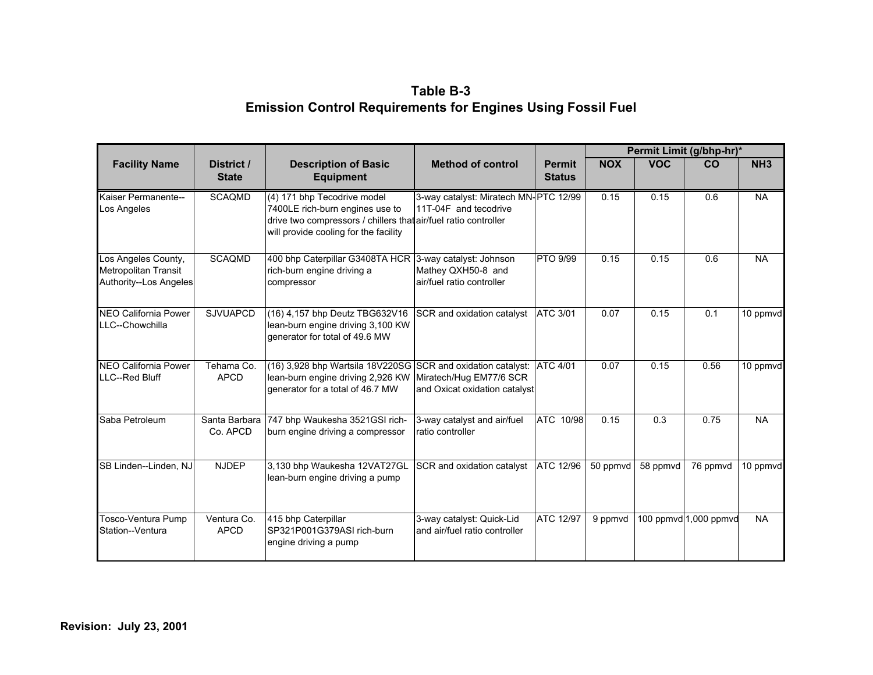## **Table B-3 Emission Control Requirements for Engines Using Fossil Fuel**

|                                                                       |                            |                                                                                                                                                                            |                                                                            |                                |            | Permit Limit (g/bhp-hr)* |                       |                 |  |
|-----------------------------------------------------------------------|----------------------------|----------------------------------------------------------------------------------------------------------------------------------------------------------------------------|----------------------------------------------------------------------------|--------------------------------|------------|--------------------------|-----------------------|-----------------|--|
| <b>Facility Name</b>                                                  | District /<br><b>State</b> | <b>Description of Basic</b><br><b>Equipment</b>                                                                                                                            | <b>Method of control</b>                                                   | <b>Permit</b><br><b>Status</b> | <b>NOX</b> | <b>VOC</b>               | CO                    | NH <sub>3</sub> |  |
| Kaiser Permanente--<br>Los Angeles                                    | <b>SCAQMD</b>              | (4) 171 bhp Tecodrive model<br>7400LE rich-burn engines use to<br>drive two compressors / chillers that air/fuel ratio controller<br>will provide cooling for the facility | 3-way catalyst: Miratech MN-PTC 12/99<br>11T-04F and tecodrive             |                                | 0.15       | 0.15                     | 0.6                   | <b>NA</b>       |  |
| Los Angeles County,<br>Metropolitan Transit<br>Authority--Los Angeles | <b>SCAQMD</b>              | 400 bhp Caterpillar G3408TA HCR<br>rich-burn engine driving a<br>compressor                                                                                                | 3-way catalyst: Johnson<br>Mathey QXH50-8 and<br>air/fuel ratio controller | PTO 9/99                       | 0.15       | 0.15                     | 0.6                   | <b>NA</b>       |  |
| <b>NEO California Power</b><br>LLC--Chowchilla                        | <b>SJVUAPCD</b>            | (16) 4,157 bhp Deutz TBG632V16<br>lean-burn engine driving 3,100 KW<br>generator for total of 49.6 MW                                                                      | SCR and oxidation catalyst                                                 | ATC 3/01                       | 0.07       | 0.15                     | 0.1                   | 10 ppmvd        |  |
| <b>NEO California Power</b><br>LLC--Red Bluff                         | Tehama Co.<br><b>APCD</b>  | (16) 3,928 bhp Wartsila 18V220SG SCR and oxidation catalyst:<br>lean-burn engine driving 2,926 KW<br>generator for a total of 46.7 MW                                      | Miratech/Hug EM77/6 SCR<br>and Oxicat oxidation catalyst                   | <b>ATC 4/01</b>                | 0.07       | 0.15                     | 0.56                  | 10 ppmvd        |  |
| Saba Petroleum                                                        | Santa Barbara<br>Co. APCD  | 747 bhp Waukesha 3521GSI rich-<br>burn engine driving a compressor                                                                                                         | 3-way catalyst and air/fuel<br>ratio controller                            | ATC 10/98                      | 0.15       | 0.3                      | 0.75                  | <b>NA</b>       |  |
| SB Linden--Linden, NJ                                                 | <b>NJDEP</b>               | 3,130 bhp Waukesha 12VAT27GL<br>lean-burn engine driving a pump                                                                                                            | SCR and oxidation catalyst                                                 | <b>ATC 12/96</b>               | 50 ppmvd   | 58 ppmvd                 | 76 ppmvd              | 10 ppmvd        |  |
| Tosco-Ventura Pump<br>Station--Ventura                                | Ventura Co.<br><b>APCD</b> | 415 bhp Caterpillar<br>SP321P001G379ASI rich-burn<br>engine driving a pump                                                                                                 | 3-way catalyst: Quick-Lid<br>and air/fuel ratio controller                 | ATC 12/97                      | 9 ppmvd    |                          | 100 ppmvd 1,000 ppmvd | <b>NA</b>       |  |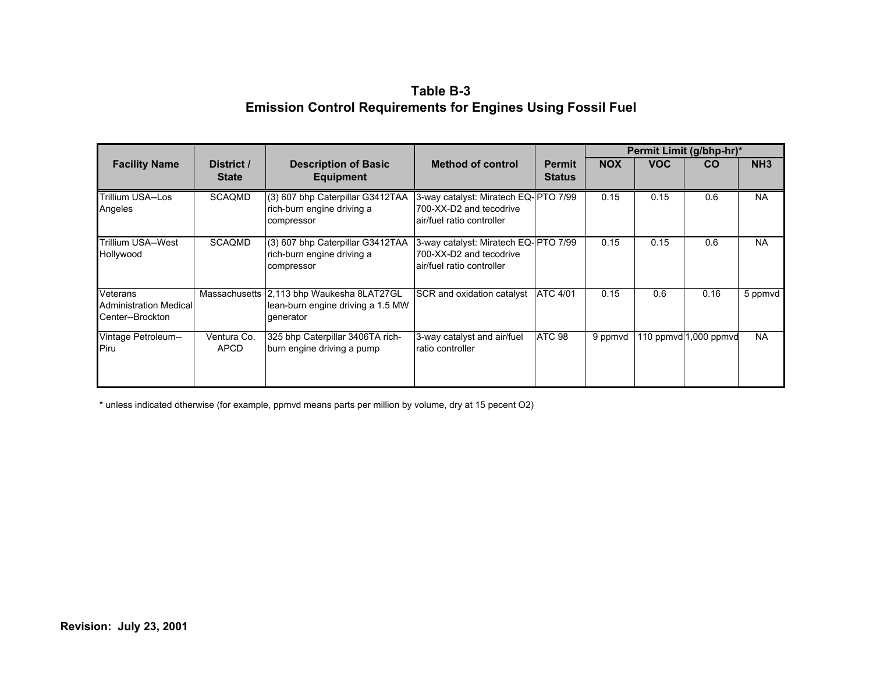## **Table B-3 Emission Control Requirements for Engines Using Fossil Fuel**

|                                                               |                            |                                                                               |                                                                                               |                                | Permit Limit (g/bhp-hr)* |            |                          |                 |
|---------------------------------------------------------------|----------------------------|-------------------------------------------------------------------------------|-----------------------------------------------------------------------------------------------|--------------------------------|--------------------------|------------|--------------------------|-----------------|
| <b>Facility Name</b>                                          | District /<br><b>State</b> | <b>Description of Basic</b><br><b>Equipment</b>                               | <b>Method of control</b>                                                                      | <b>Permit</b><br><b>Status</b> | <b>NOX</b>               | <b>VOC</b> | <b>CO</b>                | NH <sub>3</sub> |
| <b>Trillium USA--Los</b><br>Angeles                           | <b>SCAQMD</b>              | (3) 607 bhp Caterpillar G3412TAA<br>rich-burn engine driving a<br>compressor  | 3-way catalyst: Miratech EQ-PTO 7/99<br>700-XX-D2 and tecodrive<br>lair/fuel ratio controller |                                | 0.15                     | 0.15       | 0.6                      | <b>NA</b>       |
| Trillium USA--West<br>Hollywood                               | <b>SCAQMD</b>              | (3) 607 bhp Caterpillar G3412TAA<br>rich-burn engine driving a<br>compressor  | 3-way catalyst: Miratech EQ-PTO 7/99<br>700-XX-D2 and tecodrive<br>lair/fuel ratio controller |                                | 0.15                     | 0.15       | 0.6                      | <b>NA</b>       |
| Veterans<br><b>Administration Medical</b><br>Center--Brockton | Massachusetts              | 2,113 bhp Waukesha 8LAT27GL<br>lean-burn engine driving a 1.5 MW<br>qenerator | SCR and oxidation catalyst                                                                    | <b>ATC 4/01</b>                | 0.15                     | 0.6        | 0.16                     | 5 ppmvd         |
| Vintage Petroleum--<br>Piru                                   | Ventura Co.<br><b>APCD</b> | 325 bhp Caterpillar 3406TA rich-<br>burn engine driving a pump                | 3-way catalyst and air/fuel<br><b>ratio controller</b>                                        | ATC 98                         | 9 ppmvd                  |            | 110 ppmvd $ 1,000$ ppmvd | NA.             |

\* unless indicated otherwise (for example, ppmvd means parts per million by volume, dry at 15 pecent O2)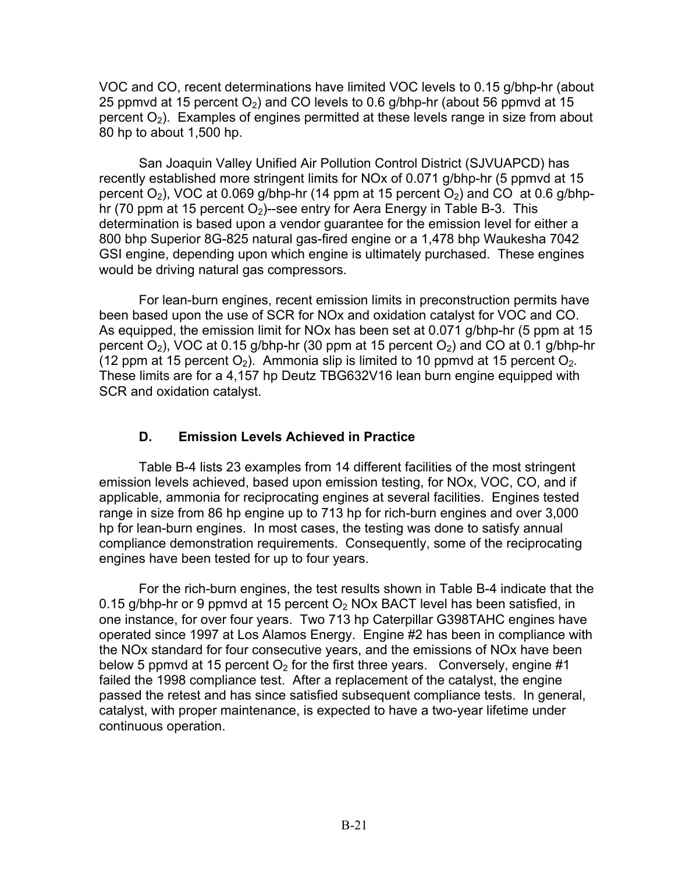VOC and CO, recent determinations have limited VOC levels to 0.15 g/bhp-hr (about 25 ppmvd at 15 percent  $O_2$ ) and CO levels to 0.6 g/bhp-hr (about 56 ppmvd at 15 percent  $O_2$ ). Examples of engines permitted at these levels range in size from about 80 hp to about 1,500 hp.

San Joaquin Valley Unified Air Pollution Control District (SJVUAPCD) has recently established more stringent limits for NOx of 0.071 g/bhp-hr (5 ppmvd at 15 percent  $O_2$ ), VOC at 0.069 g/bhp-hr (14 ppm at 15 percent  $O_2$ ) and CO at 0.6 g/bhphr (70 ppm at 15 percent  $O_2$ )--see entry for Aera Energy in Table B-3. This determination is based upon a vendor guarantee for the emission level for either a 800 bhp Superior 8G-825 natural gas-fired engine or a 1,478 bhp Waukesha 7042 GSI engine, depending upon which engine is ultimately purchased. These engines would be driving natural gas compressors.

For lean-burn engines, recent emission limits in preconstruction permits have been based upon the use of SCR for NOx and oxidation catalyst for VOC and CO. As equipped, the emission limit for NOx has been set at 0.071 g/bhp-hr (5 ppm at 15 percent  $O_2$ ), VOC at 0.15 g/bhp-hr (30 ppm at 15 percent  $O_2$ ) and CO at 0.1 g/bhp-hr (12 ppm at 15 percent  $O_2$ ). Ammonia slip is limited to 10 ppmvd at 15 percent  $O_2$ . These limits are for a 4,157 hp Deutz TBG632V16 lean burn engine equipped with SCR and oxidation catalyst.

## **D. Emission Levels Achieved in Practice**

Table B-4 lists 23 examples from 14 different facilities of the most stringent emission levels achieved, based upon emission testing, for NOx, VOC, CO, and if applicable, ammonia for reciprocating engines at several facilities. Engines tested range in size from 86 hp engine up to 713 hp for rich-burn engines and over 3,000 hp for lean-burn engines. In most cases, the testing was done to satisfy annual compliance demonstration requirements. Consequently, some of the reciprocating engines have been tested for up to four years.

For the rich-burn engines, the test results shown in Table B-4 indicate that the 0.15 g/bhp-hr or 9 ppmvd at 15 percent  $O<sub>2</sub>$  NOx BACT level has been satisfied, in one instance, for over four years. Two 713 hp Caterpillar G398TAHC engines have operated since 1997 at Los Alamos Energy. Engine #2 has been in compliance with the NOx standard for four consecutive years, and the emissions of NOx have been below 5 ppmvd at 15 percent  $O<sub>2</sub>$  for the first three years. Conversely, engine #1 failed the 1998 compliance test. After a replacement of the catalyst, the engine passed the retest and has since satisfied subsequent compliance tests. In general, catalyst, with proper maintenance, is expected to have a two-year lifetime under continuous operation.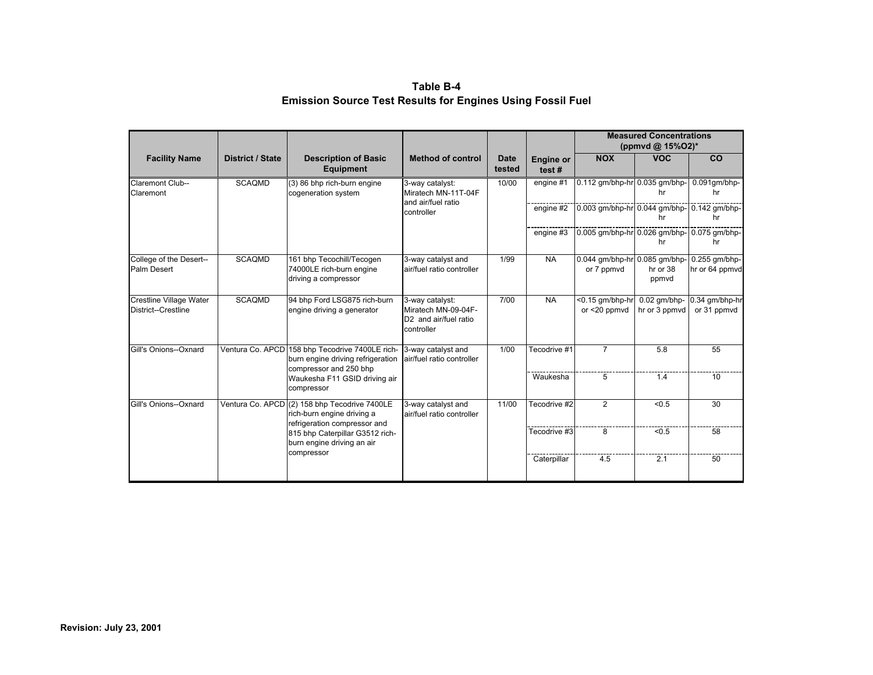**Table B-4 Emission Source Test Results for Engines Using Fossil Fuel** 

|                                                       |                         |                                                                                                                |                                                                                           |                       |                           |                                             | <b>Measured Concentrations</b><br>(ppmvd @ $15\%$ O2)* |                                   |
|-------------------------------------------------------|-------------------------|----------------------------------------------------------------------------------------------------------------|-------------------------------------------------------------------------------------------|-----------------------|---------------------------|---------------------------------------------|--------------------------------------------------------|-----------------------------------|
| <b>Facility Name</b>                                  | <b>District / State</b> | <b>Description of Basic</b><br>Equipment                                                                       | <b>Method of control</b>                                                                  | <b>Date</b><br>tested | <b>Engine or</b><br>test# | <b>NOX</b>                                  | <b>VOC</b>                                             | CO                                |
| Claremont Club--<br>Claremont                         | <b>SCAQMD</b>           | (3) 86 bhp rich-burn engine<br>cogeneration system                                                             | 3-way catalyst:<br>Miratech MN-11T-04F<br>and air/fuel ratio                              | 10/00                 | engine #1                 | 0.112 gm/bhp-hr 0.035 gm/bhp-               | hr                                                     | $0.091$ gm/bhp-<br>hr             |
|                                                       |                         |                                                                                                                | controller                                                                                |                       | engine #2                 | 0.003 qm/bhp-hr 0.044 qm/bhp- 0.142 qm/bhp- | hr                                                     | hr                                |
|                                                       |                         |                                                                                                                |                                                                                           |                       | engine #3                 | 0.005 qm/bhp-hr 0.026 qm/bhp-               | hr                                                     | 0.075 gm/bhp-<br>hr               |
| College of the Desert--<br>Palm Desert                | <b>SCAQMD</b>           | 161 bhp Tecochill/Tecogen<br>74000LE rich-burn engine<br>driving a compressor                                  | 3-way catalyst and<br>air/fuel ratio controller                                           | 1/99                  | <b>NA</b>                 | 0.044 gm/bhp-hr 0.085 gm/bhp-<br>or 7 ppmvd | hr or 38<br>ppmvd                                      | $0.255$ qm/bhp-<br>hr or 64 ppmvd |
| <b>Crestline Village Water</b><br>District--Crestline | <b>SCAQMD</b>           | 94 bhp Ford LSG875 rich-burn<br>engine driving a generator                                                     | 3-way catalyst:<br>Miratech MN-09-04F-<br>D <sub>2</sub> and air/fuel ratio<br>controller | 7/00                  | <b>NA</b>                 | $<$ 0.15 qm/bhp-hr<br>or $<$ 20 ppmvd       | $0.02$ qm/bhp-<br>hr or 3 ppmyd                        | 0.34 gm/bhp-hr<br>or 31 ppmvd     |
| Gill's Onions--Oxnard                                 |                         | Ventura Co. APCD 158 bhp Tecodrive 7400LE rich-<br>burn engine driving refrigeration<br>compressor and 250 bhp | 3-way catalyst and<br>air/fuel ratio controller                                           | 1/00                  | Tecodrive #1              | $\overline{7}$                              | 5.8                                                    | 55                                |
|                                                       |                         | Waukesha F11 GSID driving air<br>compressor                                                                    |                                                                                           |                       | Waukesha                  | 5                                           | 1.4                                                    | 10                                |
| Gill's Onions--Oxnard                                 |                         | Ventura Co. APCD (2) 158 bhp Tecodrive 7400LE<br>rich-burn engine driving a<br>refrigeration compressor and    | 3-way catalyst and<br>air/fuel ratio controller                                           | 11/00                 | Tecodrive #2              | $\overline{2}$                              | < 0.5                                                  | 30                                |
|                                                       |                         | 815 bhp Caterpillar G3512 rich-<br>burn engine driving an air                                                  |                                                                                           |                       | Tecodrive #3              | 8                                           | < 0.5                                                  | 58                                |
|                                                       |                         | compressor                                                                                                     |                                                                                           |                       | Caterpillar               | 4.5                                         | 2.1                                                    | 50                                |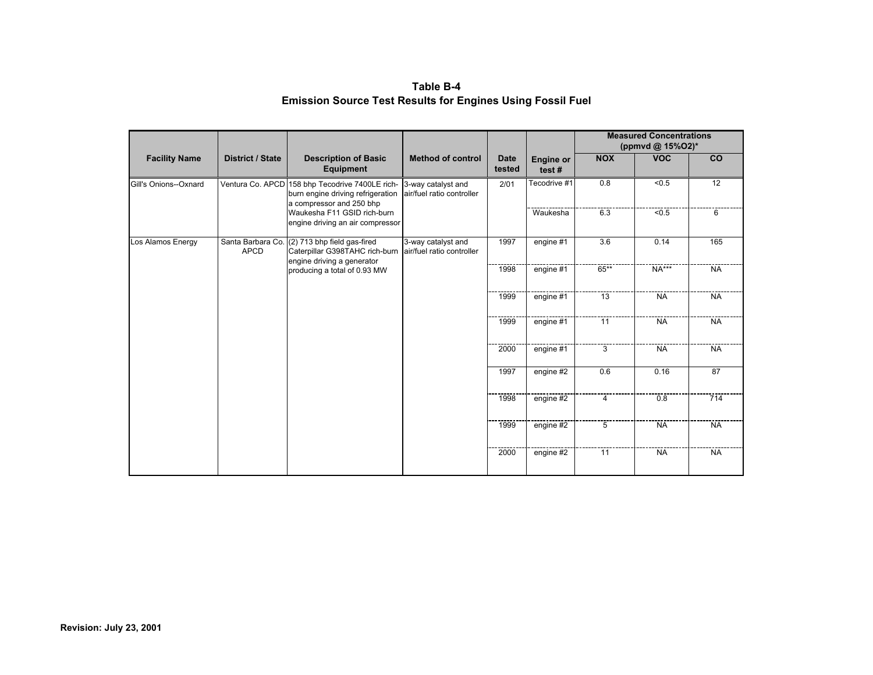**Table B-4 Emission Source Test Results for Engines Using Fossil Fuel** 

|                              |                                                                 |                                                                                                                  |                                                 |                       |                           | <b>Measured Concentrations</b><br>(ppmvd @ 15%O2)* |                |                 |           |
|------------------------------|-----------------------------------------------------------------|------------------------------------------------------------------------------------------------------------------|-------------------------------------------------|-----------------------|---------------------------|----------------------------------------------------|----------------|-----------------|-----------|
| <b>Facility Name</b>         | <b>District / State</b>                                         | <b>Description of Basic</b><br><b>Equipment</b>                                                                  | <b>Method of control</b>                        | <b>Date</b><br>tested | <b>Engine or</b><br>test# | <b>NOX</b>                                         | <b>VOC</b>     | co              |           |
| Gill's Onions--Oxnard        |                                                                 | Ventura Co. APCD 158 bhp Tecodrive 7400LE rich-<br>burn engine driving refrigeration<br>a compressor and 250 bhp | 3-way catalyst and<br>air/fuel ratio controller | 2/01                  | Tecodrive #1              | 0.8                                                | $\sqrt{6.5}$   | $\overline{12}$ |           |
|                              | Waukesha F11 GSID rich-burn<br>engine driving an air compressor |                                                                                                                  |                                                 | Waukesha              | 6.3                       | < 0.5                                              | 6              |                 |           |
| Los Alamos Energy            | Santa Barbara Co.<br><b>APCD</b>                                | (2) 713 bhp field gas-fired<br>Caterpillar G398TAHC rich-burn<br>engine driving a generator                      | 3-way catalyst and<br>air/fuel ratio controller | 1997                  | engine #1                 | 3.6                                                | 0.14           | 165             |           |
| producing a total of 0.93 MW |                                                                 | 1998                                                                                                             | engine #1                                       | 65**                  | <b>NA***</b>              | <b>NA</b>                                          |                |                 |           |
|                              |                                                                 |                                                                                                                  | 1999                                            | engine #1             | 13                        | <b>NA</b>                                          | <b>NA</b>      |                 |           |
|                              |                                                                 |                                                                                                                  |                                                 |                       | 1999                      | engine #1                                          | 11             | <b>NA</b>       | <b>NA</b> |
|                              |                                                                 |                                                                                                                  |                                                 | 2000                  | engine #1                 | 3                                                  | <b>NA</b>      | <b>NA</b>       |           |
|                              |                                                                 |                                                                                                                  |                                                 | 1997                  | engine #2                 | 0.6                                                | 0.16           | 87              |           |
|                              |                                                                 |                                                                                                                  |                                                 | 1998                  | engine $#2$               | $\overline{4}$                                     | 0.8            | 714             |           |
|                              |                                                                 |                                                                                                                  |                                                 |                       | 1999                      | engine $#2$                                        | $\overline{5}$ | <b>NA</b>       | <b>NA</b> |
|                              |                                                                 | 2000                                                                                                             | engine #2                                       | 11                    | <b>NA</b>                 | <b>NA</b>                                          |                |                 |           |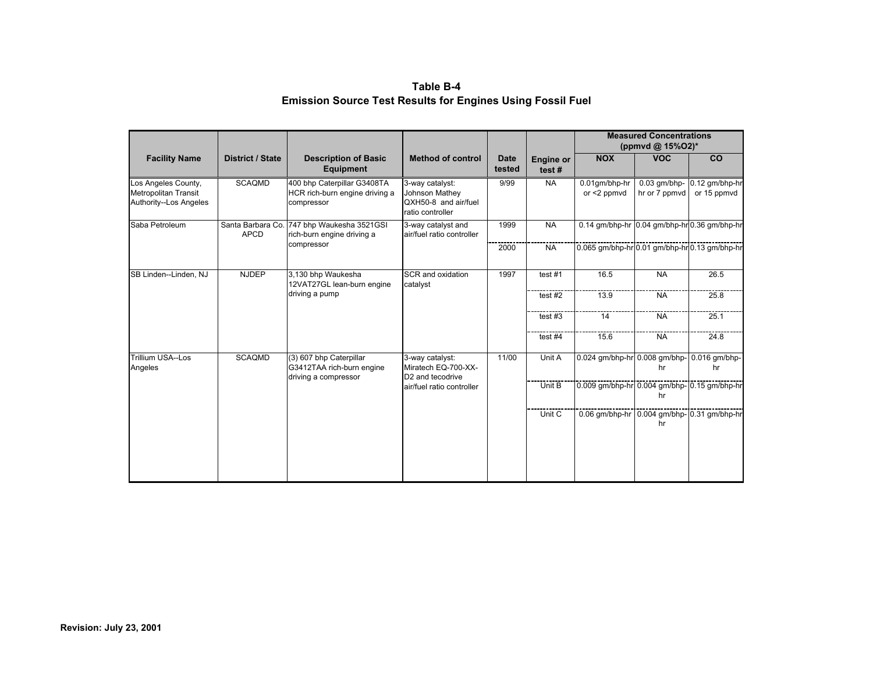**Table B-4 Emission Source Test Results for Engines Using Fossil Fuel** 

|                                                                              |                                  |                                                                              |                                                                               |                       |                           |                                               | <b>Measured Concentrations</b><br>(ppmvd @ $15\%$ O2)* |                                            |
|------------------------------------------------------------------------------|----------------------------------|------------------------------------------------------------------------------|-------------------------------------------------------------------------------|-----------------------|---------------------------|-----------------------------------------------|--------------------------------------------------------|--------------------------------------------|
| <b>Facility Name</b>                                                         | <b>District / State</b>          | <b>Description of Basic</b><br><b>Equipment</b>                              | <b>Method of control</b>                                                      | <b>Date</b><br>tested | <b>Engine or</b><br>test# | <b>NOX</b>                                    | <b>VOC</b>                                             | CO                                         |
| Los Angeles County,<br><b>Metropolitan Transit</b><br>Authority--Los Angeles | <b>SCAQMD</b>                    | 400 bhp Caterpillar G3408TA<br>HCR rich-burn engine driving a<br>compressor  | 3-way catalyst:<br>Johnson Mathey<br>QXH50-8 and air/fuel<br>ratio controller | 9/99                  | <b>NA</b>                 | 0.01qm/bhp-hr<br>or $<$ 2 ppmvd               | hr or 7 ppmvd                                          | 0.03 qm/bhp- 0.12 qm/bhp-hr<br>or 15 ppmvd |
| Saba Petroleum                                                               | Santa Barbara Co.<br><b>APCD</b> | 747 bhp Waukesha 3521GSI<br>rich-burn engine driving a                       | 3-way catalyst and<br>air/fuel ratio controller                               | 1999                  | <b>NA</b>                 | 0.14 gm/bhp-hr 0.04 gm/bhp-hr 0.36 gm/bhp-hr  |                                                        |                                            |
|                                                                              |                                  | compressor                                                                   |                                                                               | 2000                  | <b>NA</b>                 | 0.065 gm/bhp-hr 0.01 gm/bhp-hr 0.13 gm/bhp-hr |                                                        |                                            |
| SB Linden--Linden, NJ                                                        | <b>NJDEP</b>                     | 3,130 bhp Waukesha<br>12VAT27GL lean-burn engine                             | SCR and oxidation<br>catalyst                                                 | 1997                  | test#1                    | 16.5                                          | <b>NA</b>                                              | 26.5                                       |
|                                                                              |                                  | driving a pump                                                               |                                                                               |                       | test $#2$                 | 13.9                                          | <b>NA</b>                                              | 25.8                                       |
|                                                                              |                                  |                                                                              |                                                                               |                       | test $#3$                 | 14                                            | <b>NA</b>                                              | 25.1                                       |
|                                                                              |                                  |                                                                              |                                                                               |                       | test #4                   | 15.6                                          | <b>NA</b>                                              | 24.8                                       |
| Trillium USA--Los<br>Angeles                                                 | <b>SCAQMD</b>                    | (3) 607 bhp Caterpillar<br>G3412TAA rich-burn engine<br>driving a compressor | 3-way catalyst:<br>Miratech EQ-700-XX-<br>D <sub>2</sub> and tecodrive        | 11/00                 | Unit A                    | 0.024 gm/bhp-hr 0.008 gm/bhp- 0.016 gm/bhp-   | hr                                                     | hr                                         |
|                                                                              |                                  |                                                                              | air/fuel ratio controller                                                     |                       | Unit B                    | 0.009 gm/bhp-hr 0.004 gm/bhp- 0.15 gm/bhp-hr  | hr                                                     |                                            |
|                                                                              |                                  |                                                                              |                                                                               |                       | Unit C                    | 0.06 gm/bhp-hr 0.004 gm/bhp- 0.31 gm/bhp-hr   | hr                                                     |                                            |
|                                                                              |                                  |                                                                              |                                                                               |                       |                           |                                               |                                                        |                                            |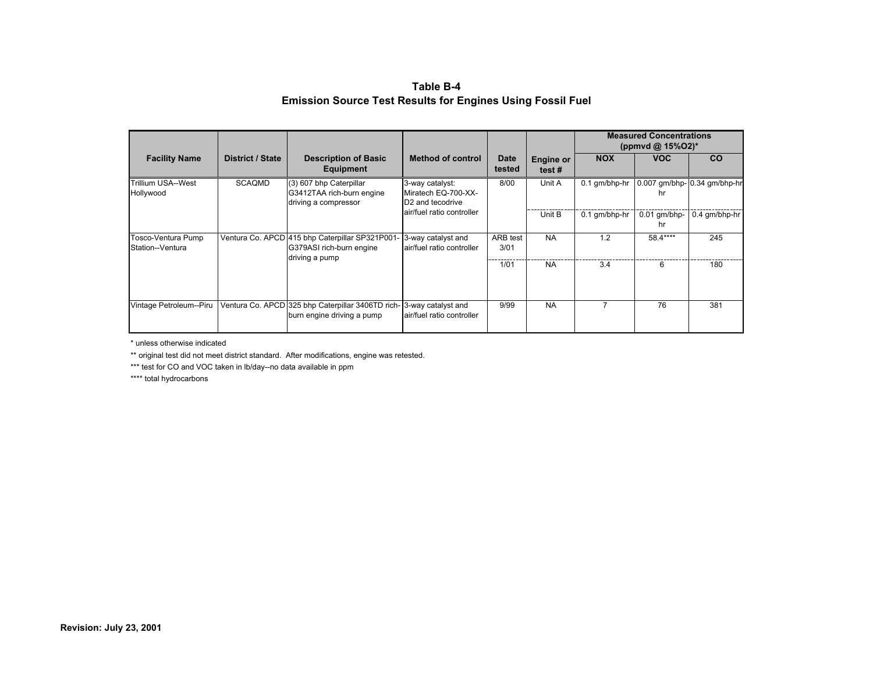**Table B-4 Emission Source Test Results for Engines Using Fossil Fuel** 

|                                        |                  |                                                                                               |                                                                        |                         |                           |               | <b>Measured Concentrations</b><br>(ppmvd @ $15\%$ O2)* |                              |
|----------------------------------------|------------------|-----------------------------------------------------------------------------------------------|------------------------------------------------------------------------|-------------------------|---------------------------|---------------|--------------------------------------------------------|------------------------------|
| <b>Facility Name</b>                   | District / State | <b>Description of Basic</b><br>Equipment                                                      | <b>Method of control</b>                                               | Date<br>tested          | <b>Engine or</b><br>test# | <b>NOX</b>    | <b>VOC</b>                                             | <b>CO</b>                    |
| Trillium USA--West<br>Hollywood        | <b>SCAQMD</b>    | (3) 607 bhp Caterpillar<br>G3412TAA rich-burn engine<br>driving a compressor                  | 3-way catalyst:<br>Miratech EQ-700-XX-<br>D <sub>2</sub> and tecodrive | 8/00                    | Unit A                    | 0.1 gm/bhp-hr | hr                                                     | 0.007 gm/bhp- 0.34 gm/bhp-hr |
|                                        |                  |                                                                                               | air/fuel ratio controller                                              |                         | Unit B                    | 0.1 gm/bhp-hr | $0.01$ qm/bhp-<br>hr                                   | $0.4$ qm/bhp-hr              |
| Tosco-Ventura Pump<br>Station--Ventura |                  | Ventura Co. APCD 415 bhp Caterpillar SP321P001-<br>G379ASI rich-burn engine<br>driving a pump | 3-way catalyst and<br>air/fuel ratio controller                        | <b>ARB</b> test<br>3/01 | <b>NA</b>                 | 1.2           | 58.4****                                               | 245                          |
|                                        |                  |                                                                                               |                                                                        | 1/01                    | <b>NA</b>                 | 3.4           | 6                                                      | 180                          |
| Vintage Petroleum--Piru                |                  | Ventura Co. APCD 325 bhp Caterpillar 3406TD rich-<br>burn engine driving a pump               | 3-way catalyst and<br>air/fuel ratio controller                        | 9/99                    | <b>NA</b>                 |               | 76                                                     | 381                          |

\* unless otherwise indicated

\*\* original test did not meet district standard. After modifications, engine was retested.

\*\*\* test for CO and VOC taken in lb/day--no data available in ppm

\*\*\*\* total hydrocarbons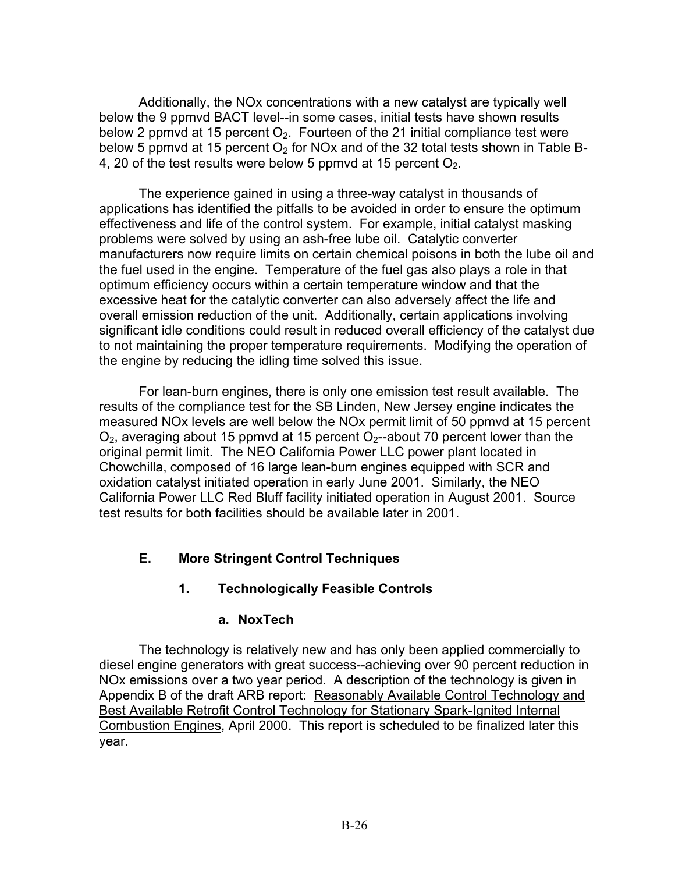Additionally, the NOx concentrations with a new catalyst are typically well below the 9 ppmvd BACT level--in some cases, initial tests have shown results below 2 ppmvd at 15 percent  $O<sub>2</sub>$ . Fourteen of the 21 initial compliance test were below 5 ppmvd at 15 percent  $O<sub>2</sub>$  for NOx and of the 32 total tests shown in Table B-4, 20 of the test results were below 5 ppmvd at 15 percent  $O_2$ .

The experience gained in using a three-way catalyst in thousands of applications has identified the pitfalls to be avoided in order to ensure the optimum effectiveness and life of the control system. For example, initial catalyst masking problems were solved by using an ash-free lube oil. Catalytic converter manufacturers now require limits on certain chemical poisons in both the lube oil and the fuel used in the engine. Temperature of the fuel gas also plays a role in that optimum efficiency occurs within a certain temperature window and that the excessive heat for the catalytic converter can also adversely affect the life and overall emission reduction of the unit. Additionally, certain applications involving significant idle conditions could result in reduced overall efficiency of the catalyst due to not maintaining the proper temperature requirements. Modifying the operation of the engine by reducing the idling time solved this issue.

For lean-burn engines, there is only one emission test result available. The results of the compliance test for the SB Linden, New Jersey engine indicates the measured NOx levels are well below the NOx permit limit of 50 ppmvd at 15 percent  $O<sub>2</sub>$ , averaging about 15 ppmvd at 15 percent  $O<sub>2</sub>$ -about 70 percent lower than the original permit limit. The NEO California Power LLC power plant located in Chowchilla, composed of 16 large lean-burn engines equipped with SCR and oxidation catalyst initiated operation in early June 2001. Similarly, the NEO California Power LLC Red Bluff facility initiated operation in August 2001. Source test results for both facilities should be available later in 2001.

# **E. More Stringent Control Techniques**

# **1. Technologically Feasible Controls**

## **a. NoxTech**

The technology is relatively new and has only been applied commercially to diesel engine generators with great success--achieving over 90 percent reduction in NOx emissions over a two year period. A description of the technology is given in Appendix B of the draft ARB report: Reasonably Available Control Technology and Best Available Retrofit Control Technology for Stationary Spark-Ignited Internal Combustion Engines, April 2000. This report is scheduled to be finalized later this year.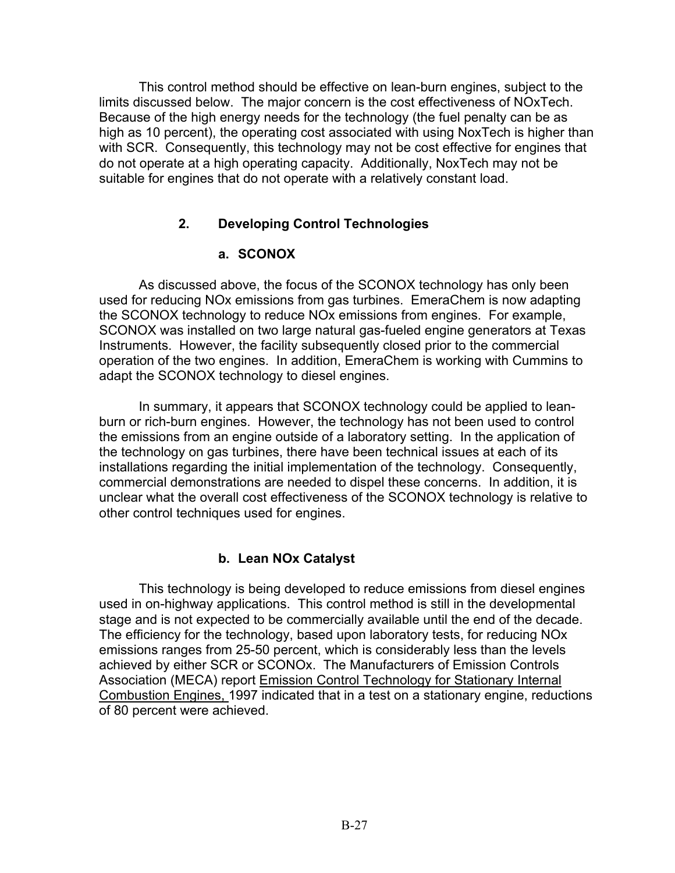This control method should be effective on lean-burn engines, subject to the limits discussed below. The major concern is the cost effectiveness of NOxTech. Because of the high energy needs for the technology (the fuel penalty can be as high as 10 percent), the operating cost associated with using NoxTech is higher than with SCR. Consequently, this technology may not be cost effective for engines that do not operate at a high operating capacity. Additionally, NoxTech may not be suitable for engines that do not operate with a relatively constant load.

## **2. Developing Control Technologies**

## **a. SCONOX**

As discussed above, the focus of the SCONOX technology has only been used for reducing NOx emissions from gas turbines. EmeraChem is now adapting the SCONOX technology to reduce NOx emissions from engines. For example, SCONOX was installed on two large natural gas-fueled engine generators at Texas Instruments. However, the facility subsequently closed prior to the commercial operation of the two engines. In addition, EmeraChem is working with Cummins to adapt the SCONOX technology to diesel engines.

In summary, it appears that SCONOX technology could be applied to leanburn or rich-burn engines. However, the technology has not been used to control the emissions from an engine outside of a laboratory setting. In the application of the technology on gas turbines, there have been technical issues at each of its installations regarding the initial implementation of the technology. Consequently, commercial demonstrations are needed to dispel these concerns. In addition, it is unclear what the overall cost effectiveness of the SCONOX technology is relative to other control techniques used for engines.

## **b. Lean NOx Catalyst**

This technology is being developed to reduce emissions from diesel engines used in on-highway applications. This control method is still in the developmental stage and is not expected to be commercially available until the end of the decade. The efficiency for the technology, based upon laboratory tests, for reducing NOx emissions ranges from 25-50 percent, which is considerably less than the levels achieved by either SCR or SCONOx. The Manufacturers of Emission Controls Association (MECA) report Emission Control Technology for Stationary Internal Combustion Engines, 1997 indicated that in a test on a stationary engine, reductions of 80 percent were achieved.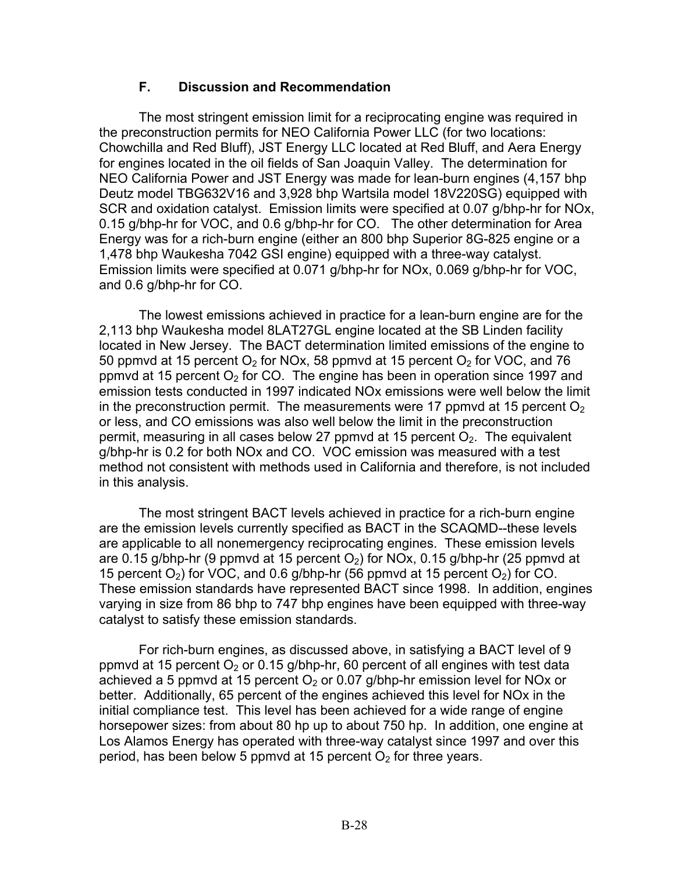#### **F. Discussion and Recommendation**

The most stringent emission limit for a reciprocating engine was required in the preconstruction permits for NEO California Power LLC (for two locations: Chowchilla and Red Bluff), JST Energy LLC located at Red Bluff, and Aera Energy for engines located in the oil fields of San Joaquin Valley. The determination for NEO California Power and JST Energy was made for lean-burn engines (4,157 bhp Deutz model TBG632V16 and 3,928 bhp Wartsila model 18V220SG) equipped with SCR and oxidation catalyst. Emission limits were specified at 0.07 g/bhp-hr for NOx, 0.15 g/bhp-hr for VOC, and 0.6 g/bhp-hr for CO. The other determination for Area Energy was for a rich-burn engine (either an 800 bhp Superior 8G-825 engine or a 1,478 bhp Waukesha 7042 GSI engine) equipped with a three-way catalyst. Emission limits were specified at 0.071 g/bhp-hr for NOx, 0.069 g/bhp-hr for VOC, and 0.6 g/bhp-hr for CO.

The lowest emissions achieved in practice for a lean-burn engine are for the 2,113 bhp Waukesha model 8LAT27GL engine located at the SB Linden facility located in New Jersey. The BACT determination limited emissions of the engine to 50 ppmvd at 15 percent  $O_2$  for NOx, 58 ppmvd at 15 percent  $O_2$  for VOC, and 76 ppmvd at 15 percent  $O_2$  for CO. The engine has been in operation since 1997 and emission tests conducted in 1997 indicated NOx emissions were well below the limit in the preconstruction permit. The measurements were 17 ppmvd at 15 percent  $O<sub>2</sub>$ or less, and CO emissions was also well below the limit in the preconstruction permit, measuring in all cases below 27 ppmvd at 15 percent  $O<sub>2</sub>$ . The equivalent g/bhp-hr is 0.2 for both NOx and CO. VOC emission was measured with a test method not consistent with methods used in California and therefore, is not included in this analysis.

The most stringent BACT levels achieved in practice for a rich-burn engine are the emission levels currently specified as BACT in the SCAQMD--these levels are applicable to all nonemergency reciprocating engines. These emission levels are 0.15 g/bhp-hr (9 ppmvd at 15 percent  $O<sub>2</sub>$ ) for NOx, 0.15 g/bhp-hr (25 ppmvd at 15 percent  $O_2$ ) for VOC, and 0.6 g/bhp-hr (56 ppmvd at 15 percent  $O_2$ ) for CO. These emission standards have represented BACT since 1998. In addition, engines varying in size from 86 bhp to 747 bhp engines have been equipped with three-way catalyst to satisfy these emission standards.

For rich-burn engines, as discussed above, in satisfying a BACT level of 9 ppmvd at 15 percent  $O<sub>2</sub>$  or 0.15 g/bhp-hr, 60 percent of all engines with test data achieved a 5 ppmvd at 15 percent  $O<sub>2</sub>$  or 0.07 g/bhp-hr emission level for NOx or better. Additionally, 65 percent of the engines achieved this level for NOx in the initial compliance test. This level has been achieved for a wide range of engine horsepower sizes: from about 80 hp up to about 750 hp. In addition, one engine at Los Alamos Energy has operated with three-way catalyst since 1997 and over this period, has been below 5 ppmvd at 15 percent  $O<sub>2</sub>$  for three years.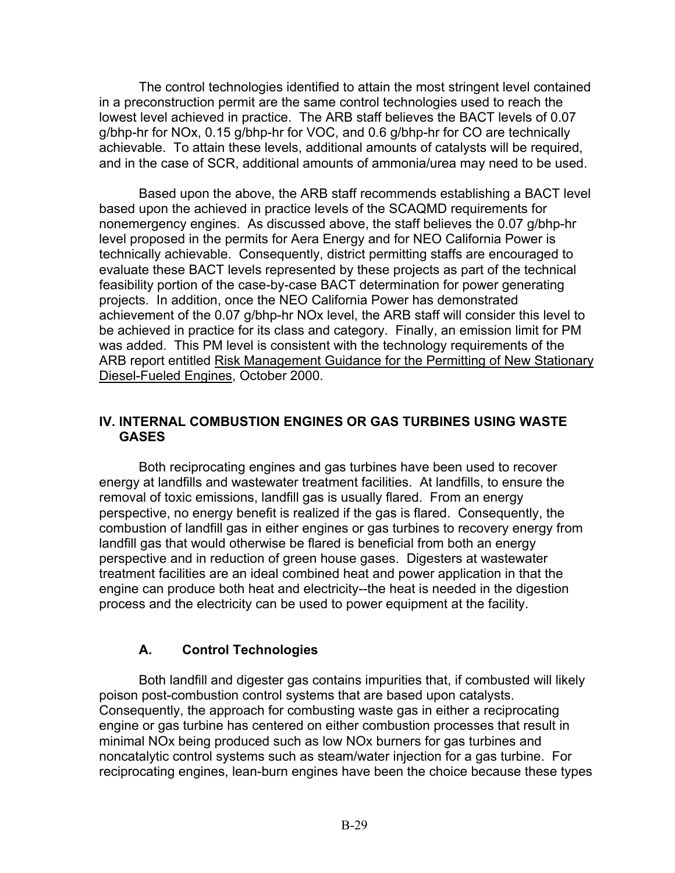The control technologies identified to attain the most stringent level contained in a preconstruction permit are the same control technologies used to reach the lowest level achieved in practice. The ARB staff believes the BACT levels of 0.07 g/bhp-hr for NOx, 0.15 g/bhp-hr for VOC, and 0.6 g/bhp-hr for CO are technically achievable. To attain these levels, additional amounts of catalysts will be required, and in the case of SCR, additional amounts of ammonia/urea may need to be used.

Based upon the above, the ARB staff recommends establishing a BACT level based upon the achieved in practice levels of the SCAQMD requirements for nonemergency engines. As discussed above, the staff believes the 0.07 g/bhp-hr level proposed in the permits for Aera Energy and for NEO California Power is technically achievable. Consequently, district permitting staffs are encouraged to evaluate these BACT levels represented by these projects as part of the technical feasibility portion of the case-by-case BACT determination for power generating projects. In addition, once the NEO California Power has demonstrated achievement of the 0.07 g/bhp-hr NOx level, the ARB staff will consider this level to be achieved in practice for its class and category. Finally, an emission limit for PM was added. This PM level is consistent with the technology requirements of the ARB report entitled Risk Management Guidance for the Permitting of New Stationary Diesel-Fueled Engines, October 2000.

#### **IV. INTERNAL COMBUSTION ENGINES OR GAS TURBINES USING WASTE GASES**

Both reciprocating engines and gas turbines have been used to recover energy at landfills and wastewater treatment facilities. At landfills, to ensure the removal of toxic emissions, landfill gas is usually flared. From an energy perspective, no energy benefit is realized if the gas is flared. Consequently, the combustion of landfill gas in either engines or gas turbines to recovery energy from landfill gas that would otherwise be flared is beneficial from both an energy perspective and in reduction of green house gases. Digesters at wastewater treatment facilities are an ideal combined heat and power application in that the engine can produce both heat and electricity--the heat is needed in the digestion process and the electricity can be used to power equipment at the facility.

# **A. Control Technologies**

Both landfill and digester gas contains impurities that, if combusted will likely poison post-combustion control systems that are based upon catalysts. Consequently, the approach for combusting waste gas in either a reciprocating engine or gas turbine has centered on either combustion processes that result in minimal NOx being produced such as low NOx burners for gas turbines and noncatalytic control systems such as steam/water injection for a gas turbine. For reciprocating engines, lean-burn engines have been the choice because these types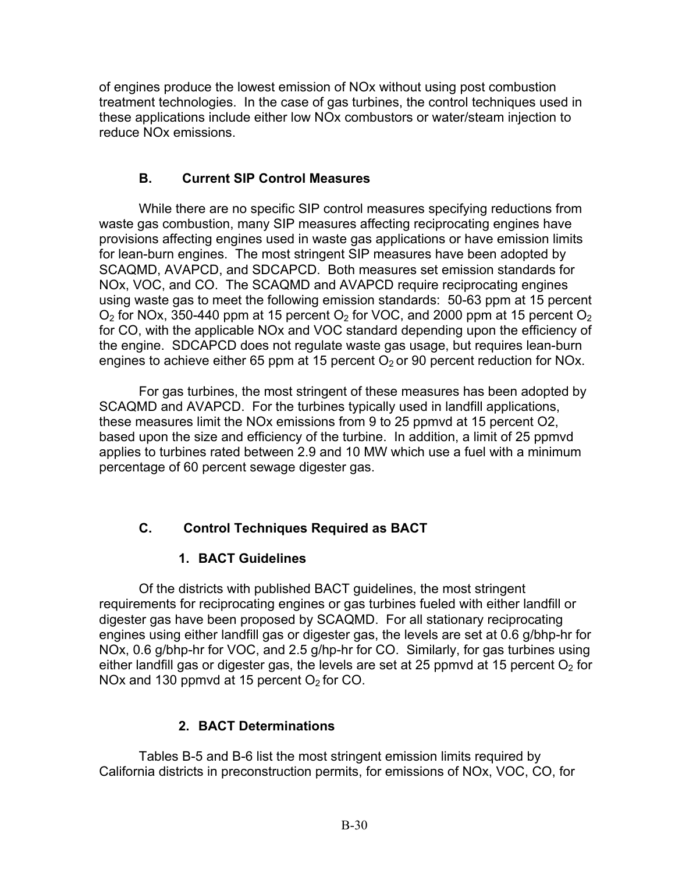of engines produce the lowest emission of NOx without using post combustion treatment technologies. In the case of gas turbines, the control techniques used in these applications include either low NOx combustors or water/steam injection to reduce NOx emissions.

## **B. Current SIP Control Measures**

While there are no specific SIP control measures specifying reductions from waste gas combustion, many SIP measures affecting reciprocating engines have provisions affecting engines used in waste gas applications or have emission limits for lean-burn engines. The most stringent SIP measures have been adopted by SCAQMD, AVAPCD, and SDCAPCD. Both measures set emission standards for NOx, VOC, and CO. The SCAQMD and AVAPCD require reciprocating engines using waste gas to meet the following emission standards: 50-63 ppm at 15 percent  $O<sub>2</sub>$  for NOx, 350-440 ppm at 15 percent  $O<sub>2</sub>$  for VOC, and 2000 ppm at 15 percent  $O<sub>2</sub>$ for CO, with the applicable NOx and VOC standard depending upon the efficiency of the engine. SDCAPCD does not regulate waste gas usage, but requires lean-burn engines to achieve either 65 ppm at 15 percent  $O<sub>2</sub>$  or 90 percent reduction for NOx.

For gas turbines, the most stringent of these measures has been adopted by SCAQMD and AVAPCD. For the turbines typically used in landfill applications, these measures limit the NOx emissions from 9 to 25 ppmvd at 15 percent O2, based upon the size and efficiency of the turbine. In addition, a limit of 25 ppmvd applies to turbines rated between 2.9 and 10 MW which use a fuel with a minimum percentage of 60 percent sewage digester gas.

# **C. Control Techniques Required as BACT**

# **1. BACT Guidelines**

Of the districts with published BACT guidelines, the most stringent requirements for reciprocating engines or gas turbines fueled with either landfill or digester gas have been proposed by SCAQMD. For all stationary reciprocating engines using either landfill gas or digester gas, the levels are set at 0.6 g/bhp-hr for NOx, 0.6 g/bhp-hr for VOC, and 2.5 g/hp-hr for CO. Similarly, for gas turbines using either landfill gas or digester gas, the levels are set at 25 ppmvd at 15 percent  $O<sub>2</sub>$  for NOx and 130 ppmvd at 15 percent  $O<sub>2</sub>$  for CO.

# **2. BACT Determinations**

Tables B-5 and B-6 list the most stringent emission limits required by California districts in preconstruction permits, for emissions of NOx, VOC, CO, for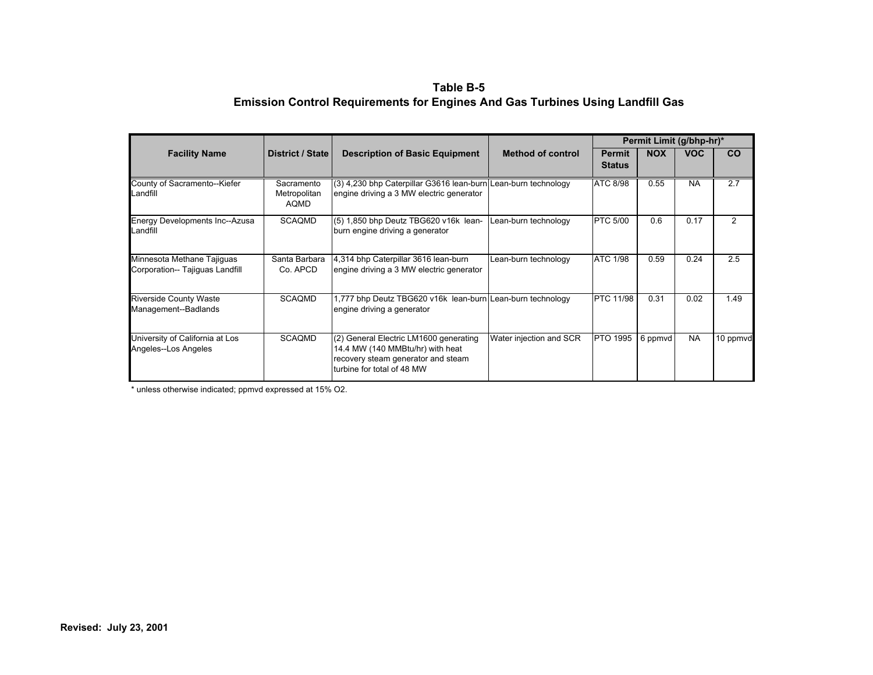#### **Table B-5 Emission Control Requirements for Engines And Gas Turbines Using Landfill Gas**

|                                                               |                                    |                                                                                                                                                |                          | Permit Limit (g/bhp-hr)*       |            |            |          |
|---------------------------------------------------------------|------------------------------------|------------------------------------------------------------------------------------------------------------------------------------------------|--------------------------|--------------------------------|------------|------------|----------|
| <b>Facility Name</b>                                          | <b>District / State</b>            | <b>Description of Basic Equipment</b>                                                                                                          | <b>Method of control</b> | <b>Permit</b><br><b>Status</b> | <b>NOX</b> | <b>VOC</b> | CO       |
| County of Sacramento--Kiefer<br>Landfill                      | Sacramento<br>Metropolitan<br>AQMD | (3) 4,230 bhp Caterpillar G3616 lean-burn Lean-burn technology<br>engine driving a 3 MW electric generator                                     |                          | ATC 8/98                       | 0.55       | <b>NA</b>  | 2.7      |
| Energy Developments Inc--Azusa<br>Landfill                    | SCAQMD                             | (5) 1,850 bhp Deutz TBG620 v16k lean-<br>burn engine driving a generator                                                                       | Lean-burn technology     | <b>PTC 5/00</b>                | 0.6        | 0.17       | 2        |
| Minnesota Methane Tajiguas<br>Corporation-- Tajiguas Landfill | Santa Barbara<br>Co. APCD          | 4,314 bhp Caterpillar 3616 lean-burn<br>engine driving a 3 MW electric generator                                                               | Lean-burn technology     | <b>ATC 1/98</b>                | 0.59       | 0.24       | 2.5      |
| <b>Riverside County Waste</b><br>Management--Badlands         | SCAQMD                             | 1,777 bhp Deutz TBG620 v16k lean-burn Lean-burn technology<br>engine driving a generator                                                       |                          | <b>PTC 11/98</b>               | 0.31       | 0.02       | 1.49     |
| University of California at Los<br>Angeles--Los Angeles       | <b>SCAQMD</b>                      | (2) General Electric LM1600 generating<br>14.4 MW (140 MMBtu/hr) with heat<br>recovery steam generator and steam<br>turbine for total of 48 MW | Water injection and SCR  | <b>PTO 1995</b>                | 6 ppmvd    | <b>NA</b>  | 10 ppmvd |

\* unless otherwise indicated; ppmvd expressed at 15% O2.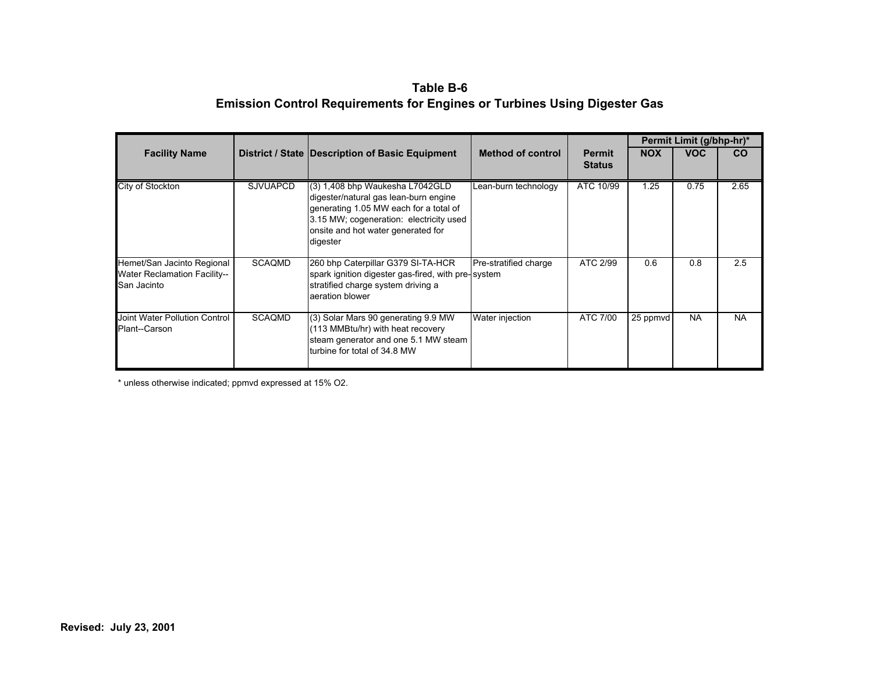**Table B-6 Emission Control Requirements for Engines or Turbines Using Digester Gas** 

|                                                                                  |                 |                                                                                                                                                                                                                 |                          |                                | Permit Limit (g/bhp-hr)* |            |           |  |
|----------------------------------------------------------------------------------|-----------------|-----------------------------------------------------------------------------------------------------------------------------------------------------------------------------------------------------------------|--------------------------|--------------------------------|--------------------------|------------|-----------|--|
| <b>Facility Name</b>                                                             |                 | District / State   Description of Basic Equipment                                                                                                                                                               | <b>Method of control</b> | <b>Permit</b><br><b>Status</b> | <b>NOX</b>               | <b>VOC</b> | <b>CO</b> |  |
| City of Stockton                                                                 | <b>SJVUAPCD</b> | (3) 1,408 bhp Waukesha L7042GLD<br>digester/natural gas lean-burn engine<br>generating 1.05 MW each for a total of<br>3.15 MW; cogeneration: electricity used<br>onsite and hot water generated for<br>digester | Lean-burn technology     | ATC 10/99                      | 1.25                     | 0.75       | 2.65      |  |
| Hemet/San Jacinto Regional<br><b>Water Reclamation Facility--</b><br>San Jacinto | SCAQMD          | 260 bhp Caterpillar G379 SI-TA-HCR<br>spark ignition digester gas-fired, with pre-system<br>stratified charge system driving a<br>aeration blower                                                               | Pre-stratified charge    | ATC 2/99                       | 0.6                      | 0.8        | 2.5       |  |
| Joint Water Pollution Control<br>Plant--Carson                                   | <b>SCAQMD</b>   | (3) Solar Mars 90 generating 9.9 MW<br>(113 MMBtu/hr) with heat recovery<br>steam generator and one 5.1 MW steam<br>turbine for total of 34.8 MW                                                                | Water injection          | ATC 7/00                       | 25 ppmvd                 | <b>NA</b>  | <b>NA</b> |  |

\* unless otherwise indicated; ppmvd expressed at 15% O2.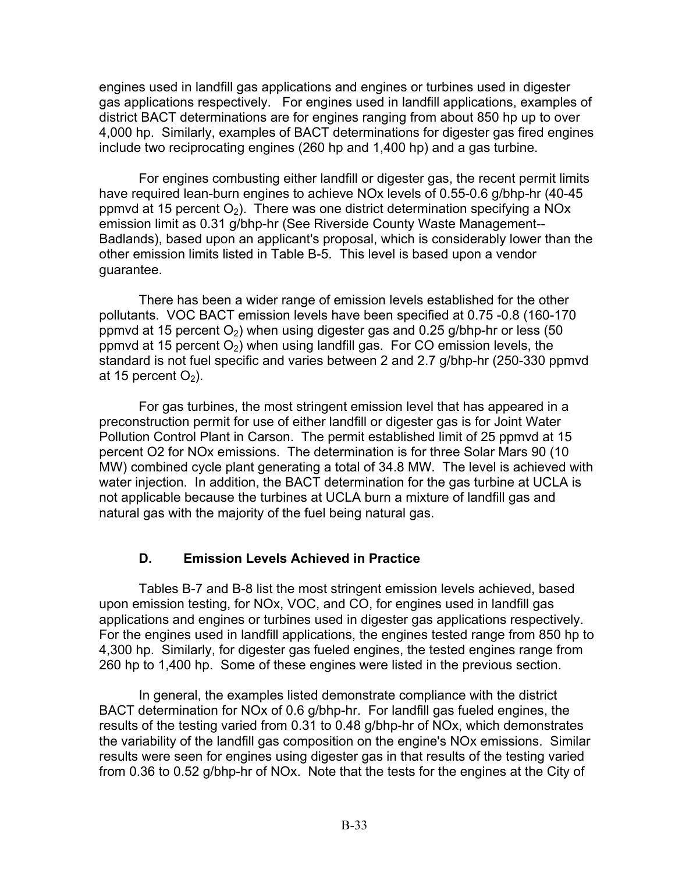engines used in landfill gas applications and engines or turbines used in digester gas applications respectively. For engines used in landfill applications, examples of district BACT determinations are for engines ranging from about 850 hp up to over 4,000 hp. Similarly, examples of BACT determinations for digester gas fired engines include two reciprocating engines (260 hp and 1,400 hp) and a gas turbine.

For engines combusting either landfill or digester gas, the recent permit limits have required lean-burn engines to achieve NOx levels of 0.55-0.6 g/bhp-hr (40-45 ppmvd at 15 percent  $O_2$ ). There was one district determination specifying a NOx emission limit as 0.31 g/bhp-hr (See Riverside County Waste Management-- Badlands), based upon an applicant's proposal, which is considerably lower than the other emission limits listed in Table B-5. This level is based upon a vendor guarantee.

There has been a wider range of emission levels established for the other pollutants. VOC BACT emission levels have been specified at 0.75 -0.8 (160-170 ppmvd at 15 percent  $O<sub>2</sub>$ ) when using digester gas and 0.25 g/bhp-hr or less (50 ppmvd at 15 percent  $O_2$ ) when using landfill gas. For CO emission levels, the standard is not fuel specific and varies between 2 and 2.7 g/bhp-hr (250-330 ppmvd at 15 percent  $O_2$ ).

For gas turbines, the most stringent emission level that has appeared in a preconstruction permit for use of either landfill or digester gas is for Joint Water Pollution Control Plant in Carson. The permit established limit of 25 ppmvd at 15 percent O2 for NOx emissions. The determination is for three Solar Mars 90 (10 MW) combined cycle plant generating a total of 34.8 MW. The level is achieved with water injection. In addition, the BACT determination for the gas turbine at UCLA is not applicable because the turbines at UCLA burn a mixture of landfill gas and natural gas with the majority of the fuel being natural gas.

## **D. Emission Levels Achieved in Practice**

Tables B-7 and B-8 list the most stringent emission levels achieved, based upon emission testing, for NOx, VOC, and CO, for engines used in landfill gas applications and engines or turbines used in digester gas applications respectively. For the engines used in landfill applications, the engines tested range from 850 hp to 4,300 hp. Similarly, for digester gas fueled engines, the tested engines range from 260 hp to 1,400 hp. Some of these engines were listed in the previous section.

In general, the examples listed demonstrate compliance with the district BACT determination for NOx of 0.6 g/bhp-hr. For landfill gas fueled engines, the results of the testing varied from 0.31 to 0.48 g/bhp-hr of NOx, which demonstrates the variability of the landfill gas composition on the engine's NOx emissions. Similar results were seen for engines using digester gas in that results of the testing varied from 0.36 to 0.52 g/bhp-hr of NOx. Note that the tests for the engines at the City of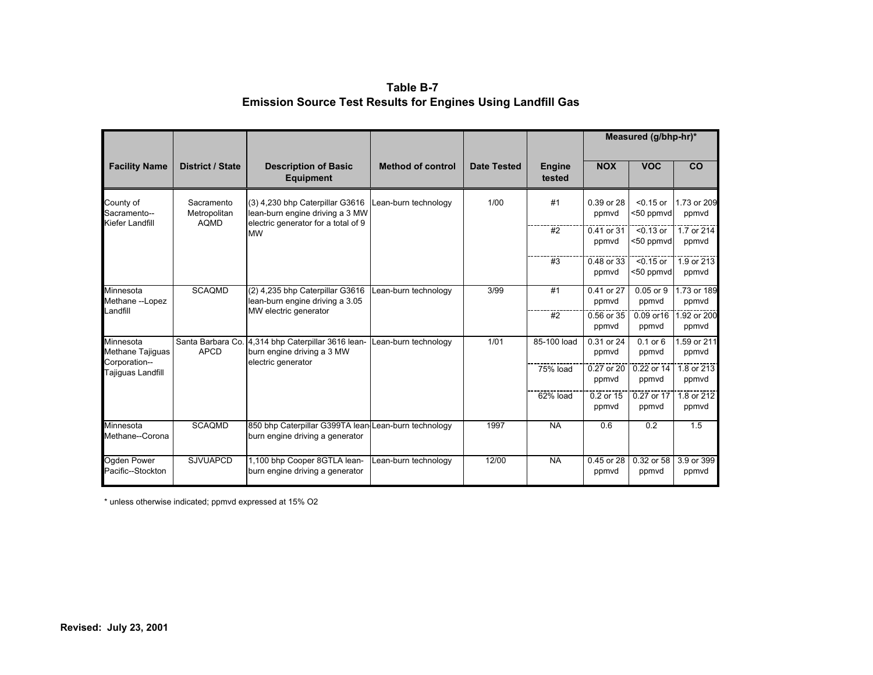| Table B-7                                                          |  |
|--------------------------------------------------------------------|--|
| <b>Emission Source Test Results for Engines Using Landfill Gas</b> |  |

|                                              |                                           |                                                                                                           |                          |                    |                         | Measured (g/bhp-hr)* |                          |                      |  |
|----------------------------------------------|-------------------------------------------|-----------------------------------------------------------------------------------------------------------|--------------------------|--------------------|-------------------------|----------------------|--------------------------|----------------------|--|
| <b>Facility Name</b>                         | <b>District / State</b>                   | <b>Description of Basic</b><br><b>Equipment</b>                                                           | <b>Method of control</b> | <b>Date Tested</b> | <b>Engine</b><br>tested | <b>NOX</b>           | <b>VOC</b>               | CO                   |  |
| County of<br>Sacramento--<br>Kiefer Landfill | Sacramento<br>Metropolitan<br><b>AQMD</b> | (3) 4,230 bhp Caterpillar G3616<br>lean-burn engine driving a 3 MW<br>electric generator for a total of 9 | Lean-burn technology     | 1/00               | #1                      | 0.39 or 28<br>ppmvd  | $< 0.15$ or<br><50 ppmvd | 1.73 or 209<br>ppmvd |  |
|                                              |                                           | <b>MW</b>                                                                                                 |                          |                    | #2                      | 0.41 or 31<br>ppmyd  | $< 0.13$ or<br><50 ppmvd | 1.7 or 214<br>ppmyd  |  |
|                                              |                                           |                                                                                                           |                          |                    | #3                      | 0.48 or 33<br>ppmvd  | $< 0.15$ or<br><50 ppmvd | 1.9 or 213<br>ppmvd  |  |
| Minnesota<br>Methane --Lopez                 | <b>SCAQMD</b>                             | (2) 4,235 bhp Caterpillar G3616<br>lean-burn engine driving a 3.05                                        | Lean-burn technology     | 3/99               | #1                      | 0.41 or 27<br>ppmvd  | $0.05$ or $9$<br>ppmvd   | 1.73 or 189<br>ppmvd |  |
| Landfill                                     |                                           | MW electric generator                                                                                     |                          |                    | #2                      | 0.56 or 35<br>ppmvd  | 0.09 or 16<br>ppmvd      | 1.92 or 200<br>ppmyd |  |
| Minnesota<br>Methane Tajiguas                | <b>APCD</b>                               | Santa Barbara Co. 4,314 bhp Caterpillar 3616 lean-<br>burn engine driving a 3 MW                          | Lean-burn technology     | 1/01               | 85-100 load             | 0.31 or 24<br>ppmvd  | $0.1$ or $6$<br>ppmvd    | 1.59 or 211<br>ppmvd |  |
| Corporation--<br>Tajiguas Landfill           |                                           | electric generator                                                                                        |                          |                    | 75% load                | 0.27 or 20<br>ppmyd  | 0.22 or 14<br>ppmyd      | 1.8 or 213<br>ppmyd  |  |
|                                              |                                           |                                                                                                           |                          |                    | 62% load                | 0.2 or 15<br>ppmyd   | 0.27 or 17<br>ppmyd      | 1.8 or 212<br>ppmvd  |  |
| Minnesota<br>Methane--Corona                 | <b>SCAQMD</b>                             | 850 bhp Caterpillar G399TA lean-Lean-burn technology<br>burn engine driving a generator                   |                          | 1997               | <b>NA</b>               | 0.6                  | 0.2                      | 1.5                  |  |
| Ogden Power<br>Pacific--Stockton             | <b>SJVUAPCD</b>                           | 1,100 bhp Cooper 8GTLA lean-<br>burn engine driving a generator                                           | Lean-burn technology     | 12/00              | <b>NA</b>               | 0.45 or 28<br>ppmvd  | 0.32 or 58<br>ppmvd      | 3.9 or 399<br>ppmvd  |  |

\* unless otherwise indicated; ppmvd expressed at 15% O2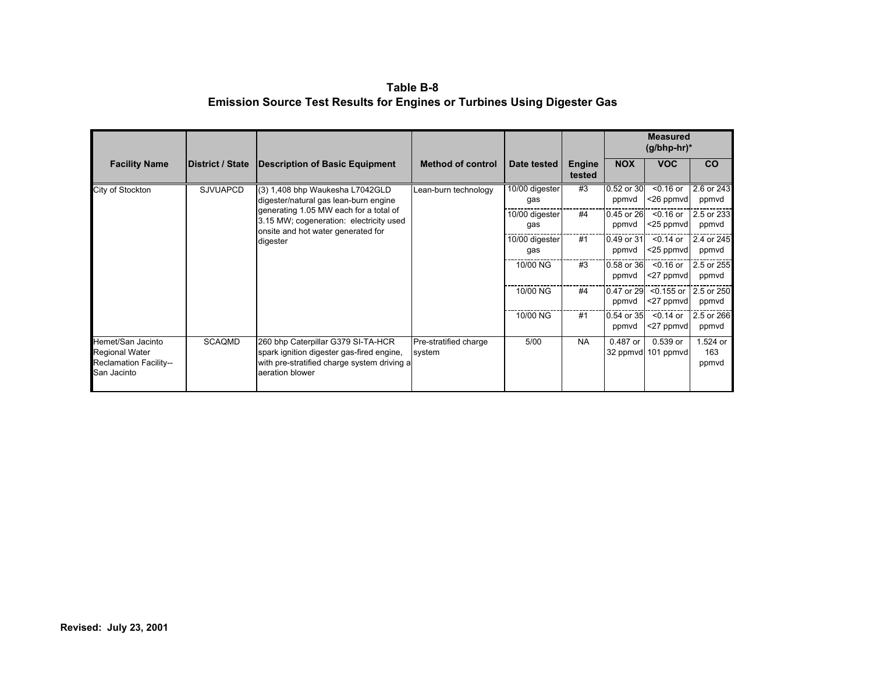| Table B-8                                                                      |
|--------------------------------------------------------------------------------|
| <b>Emission Source Test Results for Engines or Turbines Using Digester Gas</b> |

|                                                                                            |                         |                                                                                                                                                                                                                 |                                 |                       |                         |                         | <b>Measured</b><br>$(g/bhp-hr)^*$ |                          |  |
|--------------------------------------------------------------------------------------------|-------------------------|-----------------------------------------------------------------------------------------------------------------------------------------------------------------------------------------------------------------|---------------------------------|-----------------------|-------------------------|-------------------------|-----------------------------------|--------------------------|--|
| <b>Facility Name</b>                                                                       | <b>District / State</b> | <b>Description of Basic Equipment</b>                                                                                                                                                                           | <b>Method of control</b>        | Date tested           | <b>Engine</b><br>tested | <b>NOX</b>              | <b>VOC</b>                        | <b>CO</b>                |  |
| City of Stockton                                                                           | <b>SJVUAPCD</b>         | (3) 1,408 bhp Waukesha L7042GLD<br>digester/natural gas lean-burn engine<br>generating 1.05 MW each for a total of<br>3.15 MW; cogeneration: electricity used<br>onsite and hot water generated for<br>digester | Lean-burn technology            | 10/00 digester<br>gas | #3<br>#4                | 0.52 or 30<br>ppmyd     | $< 0.16$ or<br><26 ppmvd          | 2.6 or 243<br>ppmvd      |  |
|                                                                                            |                         |                                                                                                                                                                                                                 |                                 | 10/00 digester<br>gas |                         | 0.45 or 26<br>ppmvd     | $<$ 0.16 or<br><25 ppmvd          | 2.5 or 233<br>ppmvd      |  |
|                                                                                            |                         |                                                                                                                                                                                                                 | gas                             | 10/00 digester        | #1                      | 0.49 or 31<br>ppmvd     | $0.14$ or<br><25 ppmvd            | 2.4 or 245<br>ppmvd      |  |
|                                                                                            |                         |                                                                                                                                                                                                                 |                                 | 10/00 NG              | #3                      | 0.58 or 36<br>ppmvd     | $<$ 0.16 or<br><27 ppmvd          | 2.5 or 255<br>ppmvd      |  |
|                                                                                            |                         |                                                                                                                                                                                                                 |                                 | 10/00 NG              | #4                      | 0.47 or 29<br>ppmvd     | $<$ 0.155 or<br><27 ppmvd         | 2.5 or 250<br>ppmvd      |  |
|                                                                                            |                         |                                                                                                                                                                                                                 |                                 | 10/00 NG              | #1                      | $0.54$ or $35$<br>ppmvd | $<$ 0.14 or<br><27 ppmvd          | 2.5 or 266<br>ppmvd      |  |
| Hemet/San Jacinto<br><b>Regional Water</b><br><b>Reclamation Facility--</b><br>San Jacinto | <b>SCAQMD</b>           | 260 bhp Caterpillar G379 SI-TA-HCR<br>spark ignition digester gas-fired engine,<br>with pre-stratified charge system driving a<br>aeration blower                                                               | Pre-stratified charge<br>system | 5/00                  | <b>NA</b>               | 0.487 or                | 0.539 or<br>32 ppmvd 101 ppmvd    | 1.524 or<br>163<br>ppmvd |  |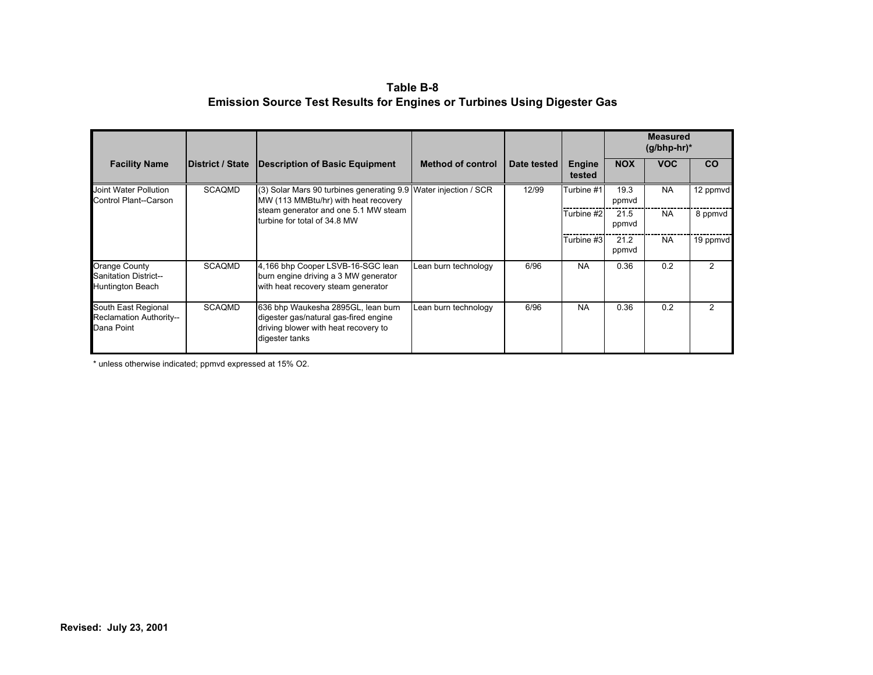| Table B-8                                                                      |
|--------------------------------------------------------------------------------|
| <b>Emission Source Test Results for Engines or Turbines Using Digester Gas</b> |

|                                                                   |                          |                                                                                                                                       |                      |             |                         | <b>Measured</b><br>$(g/bhp-hr)^*$ |            |           |
|-------------------------------------------------------------------|--------------------------|---------------------------------------------------------------------------------------------------------------------------------------|----------------------|-------------|-------------------------|-----------------------------------|------------|-----------|
| <b>Facility Name</b>                                              | <b>IDistrict / State</b> | Description of Basic Equipment                                                                                                        | Method of control    | Date tested | <b>Engine</b><br>tested | <b>NOX</b>                        | <b>VOC</b> | <b>CO</b> |
| Joint Water Pollution<br>Control Plant--Carson                    | <b>SCAQMD</b>            | (3) Solar Mars 90 turbines generating 9.9 Water injection / SCR<br>MW (113 MMBtu/hr) with heat recovery                               |                      | 12/99       | Turbine #1              | 19.3<br>ppmvd                     | <b>NA</b>  | 12 ppmvd  |
|                                                                   |                          | steam generator and one 5.1 MW steam<br>Iturbine for total of 34.8 MW                                                                 |                      |             | Turbine #2              | 21.5<br>ppmvd                     | <b>NA</b>  | 8 ppmvd   |
|                                                                   |                          |                                                                                                                                       |                      |             | Turbine #3              | 21.2<br>ppmvd                     | <b>NA</b>  | 19 ppmvd  |
| Orange County<br><b>Sanitation District--</b><br>Huntington Beach | <b>SCAQMD</b>            | 4,166 bhp Cooper LSVB-16-SGC lean<br>burn engine driving a 3 MW generator<br>with heat recovery steam generator                       | Lean burn technology | 6/96        | <b>NA</b>               | 0.36                              | 0.2        | 2         |
| South East Regional<br>Reclamation Authority--<br>Dana Point      | <b>SCAQMD</b>            | 636 bhp Waukesha 2895GL, lean burn<br>digester gas/natural gas-fired engine<br>driving blower with heat recovery to<br>digester tanks | Lean burn technology | 6/96        | <b>NA</b>               | 0.36                              | 0.2        | 2         |

\* unless otherwise indicated; ppmvd expressed at 15% O2.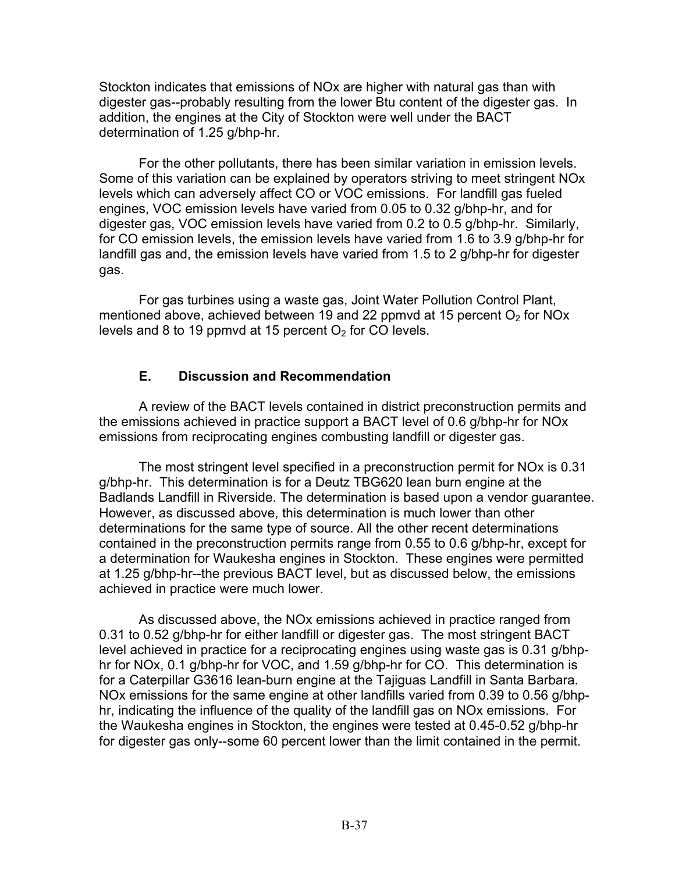Stockton indicates that emissions of NOx are higher with natural gas than with digester gas--probably resulting from the lower Btu content of the digester gas. In addition, the engines at the City of Stockton were well under the BACT determination of 1.25 g/bhp-hr.

For the other pollutants, there has been similar variation in emission levels. Some of this variation can be explained by operators striving to meet stringent NOx levels which can adversely affect CO or VOC emissions. For landfill gas fueled engines, VOC emission levels have varied from 0.05 to 0.32 g/bhp-hr, and for digester gas, VOC emission levels have varied from 0.2 to 0.5 g/bhp-hr. Similarly, for CO emission levels, the emission levels have varied from 1.6 to 3.9 g/bhp-hr for landfill gas and, the emission levels have varied from 1.5 to 2 g/bhp-hr for digester gas.

For gas turbines using a waste gas, Joint Water Pollution Control Plant, mentioned above, achieved between 19 and 22 ppmvd at 15 percent  $O<sub>2</sub>$  for NOx levels and 8 to 19 ppmvd at 15 percent  $O<sub>2</sub>$  for CO levels.

## **E. Discussion and Recommendation**

A review of the BACT levels contained in district preconstruction permits and the emissions achieved in practice support a BACT level of 0.6 g/bhp-hr for NOx emissions from reciprocating engines combusting landfill or digester gas.

The most stringent level specified in a preconstruction permit for NOx is 0.31 g/bhp-hr. This determination is for a Deutz TBG620 lean burn engine at the Badlands Landfill in Riverside. The determination is based upon a vendor guarantee. However, as discussed above, this determination is much lower than other determinations for the same type of source. All the other recent determinations contained in the preconstruction permits range from 0.55 to 0.6 g/bhp-hr, except for a determination for Waukesha engines in Stockton. These engines were permitted at 1.25 g/bhp-hr--the previous BACT level, but as discussed below, the emissions achieved in practice were much lower.

As discussed above, the NOx emissions achieved in practice ranged from 0.31 to 0.52 g/bhp-hr for either landfill or digester gas. The most stringent BACT level achieved in practice for a reciprocating engines using waste gas is 0.31 g/bhphr for NOx, 0.1 g/bhp-hr for VOC, and 1.59 g/bhp-hr for CO. This determination is for a Caterpillar G3616 lean-burn engine at the Tajiguas Landfill in Santa Barbara. NOx emissions for the same engine at other landfills varied from 0.39 to 0.56 g/bhphr, indicating the influence of the quality of the landfill gas on NOx emissions. For the Waukesha engines in Stockton, the engines were tested at [0.45-0.52](https://0.45-0.52) g/bhp-hr for digester gas only--some 60 percent lower than the limit contained in the permit.